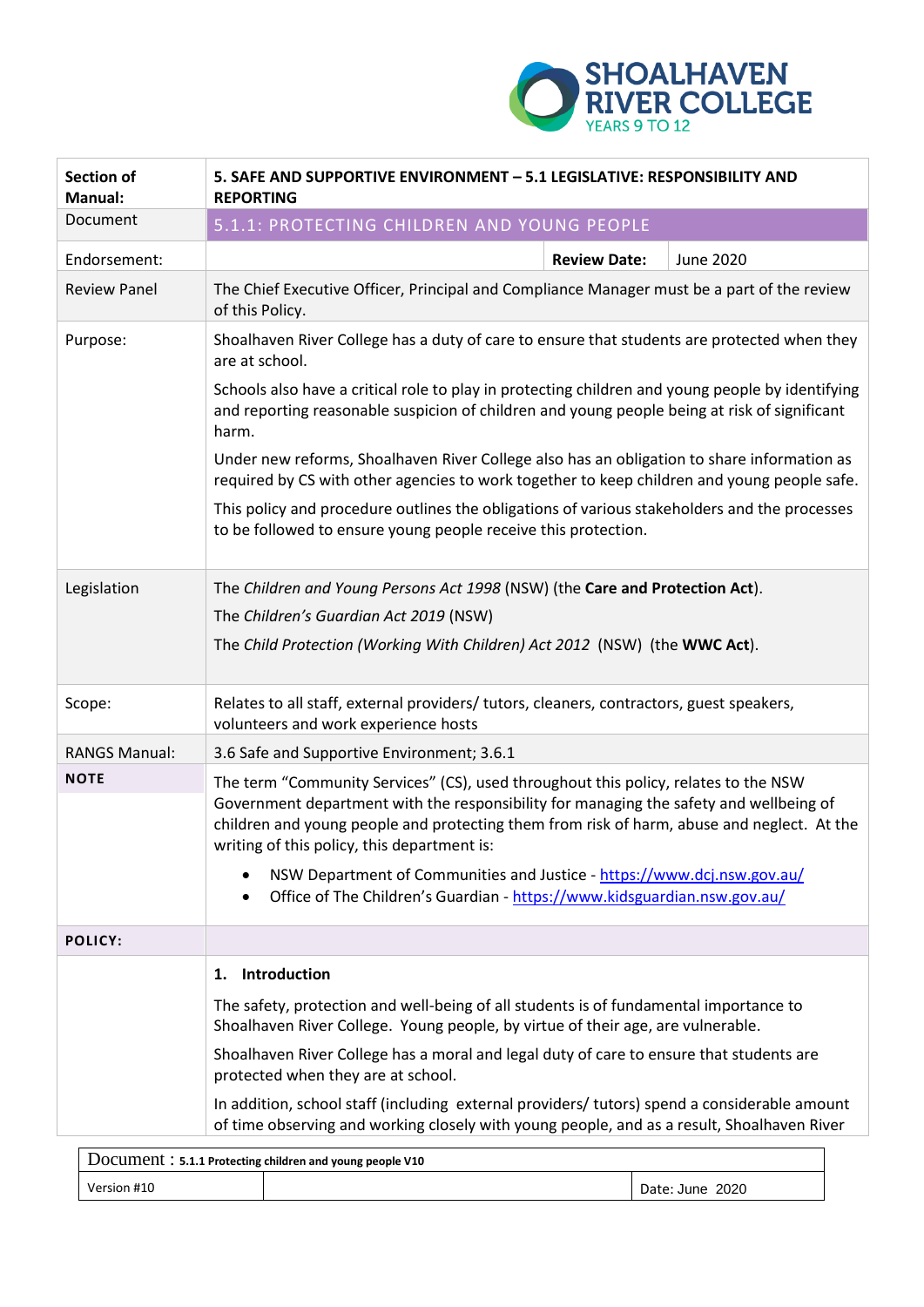

| <b>Section of</b><br><b>Manual:</b> | 5. SAFE AND SUPPORTIVE ENVIRONMENT - 5.1 LEGISLATIVE: RESPONSIBILITY AND<br><b>REPORTING</b>                                                                                                                                                                                                                               |  |  |
|-------------------------------------|----------------------------------------------------------------------------------------------------------------------------------------------------------------------------------------------------------------------------------------------------------------------------------------------------------------------------|--|--|
| Document                            | 5.1.1: PROTECTING CHILDREN AND YOUNG PEOPLE                                                                                                                                                                                                                                                                                |  |  |
| Endorsement:                        | <b>Review Date:</b><br><b>June 2020</b>                                                                                                                                                                                                                                                                                    |  |  |
| <b>Review Panel</b>                 | The Chief Executive Officer, Principal and Compliance Manager must be a part of the review<br>of this Policy.                                                                                                                                                                                                              |  |  |
| Purpose:                            | Shoalhaven River College has a duty of care to ensure that students are protected when they<br>are at school.                                                                                                                                                                                                              |  |  |
|                                     | Schools also have a critical role to play in protecting children and young people by identifying<br>and reporting reasonable suspicion of children and young people being at risk of significant<br>harm.                                                                                                                  |  |  |
|                                     | Under new reforms, Shoalhaven River College also has an obligation to share information as<br>required by CS with other agencies to work together to keep children and young people safe.                                                                                                                                  |  |  |
|                                     | This policy and procedure outlines the obligations of various stakeholders and the processes<br>to be followed to ensure young people receive this protection.                                                                                                                                                             |  |  |
| Legislation                         | The Children and Young Persons Act 1998 (NSW) (the Care and Protection Act).                                                                                                                                                                                                                                               |  |  |
|                                     | The Children's Guardian Act 2019 (NSW)                                                                                                                                                                                                                                                                                     |  |  |
|                                     | The Child Protection (Working With Children) Act 2012 (NSW) (the WWC Act).                                                                                                                                                                                                                                                 |  |  |
| Scope:                              | Relates to all staff, external providers/ tutors, cleaners, contractors, guest speakers,<br>volunteers and work experience hosts                                                                                                                                                                                           |  |  |
| <b>RANGS Manual:</b>                | 3.6 Safe and Supportive Environment; 3.6.1                                                                                                                                                                                                                                                                                 |  |  |
| <b>NOTE</b>                         | The term "Community Services" (CS), used throughout this policy, relates to the NSW<br>Government department with the responsibility for managing the safety and wellbeing of<br>children and young people and protecting them from risk of harm, abuse and neglect. At the<br>writing of this policy, this department is: |  |  |
|                                     | NSW Department of Communities and Justice - https://www.dcj.nsw.gov.au/<br>Office of The Children's Guardian - https://www.kidsguardian.nsw.gov.au/                                                                                                                                                                        |  |  |
| <b>POLICY:</b>                      |                                                                                                                                                                                                                                                                                                                            |  |  |
|                                     | Introduction<br>1.                                                                                                                                                                                                                                                                                                         |  |  |
|                                     | The safety, protection and well-being of all students is of fundamental importance to<br>Shoalhaven River College. Young people, by virtue of their age, are vulnerable.                                                                                                                                                   |  |  |
|                                     | Shoalhaven River College has a moral and legal duty of care to ensure that students are<br>protected when they are at school.                                                                                                                                                                                              |  |  |
|                                     | In addition, school staff (including external providers/ tutors) spend a considerable amount<br>of time observing and working closely with young people, and as a result, Shoalhaven River                                                                                                                                 |  |  |

| Document: 5.1.1 Protecting children and young people V10 |  |                 |  |
|----------------------------------------------------------|--|-----------------|--|
| Version #10                                              |  | Date: June 2020 |  |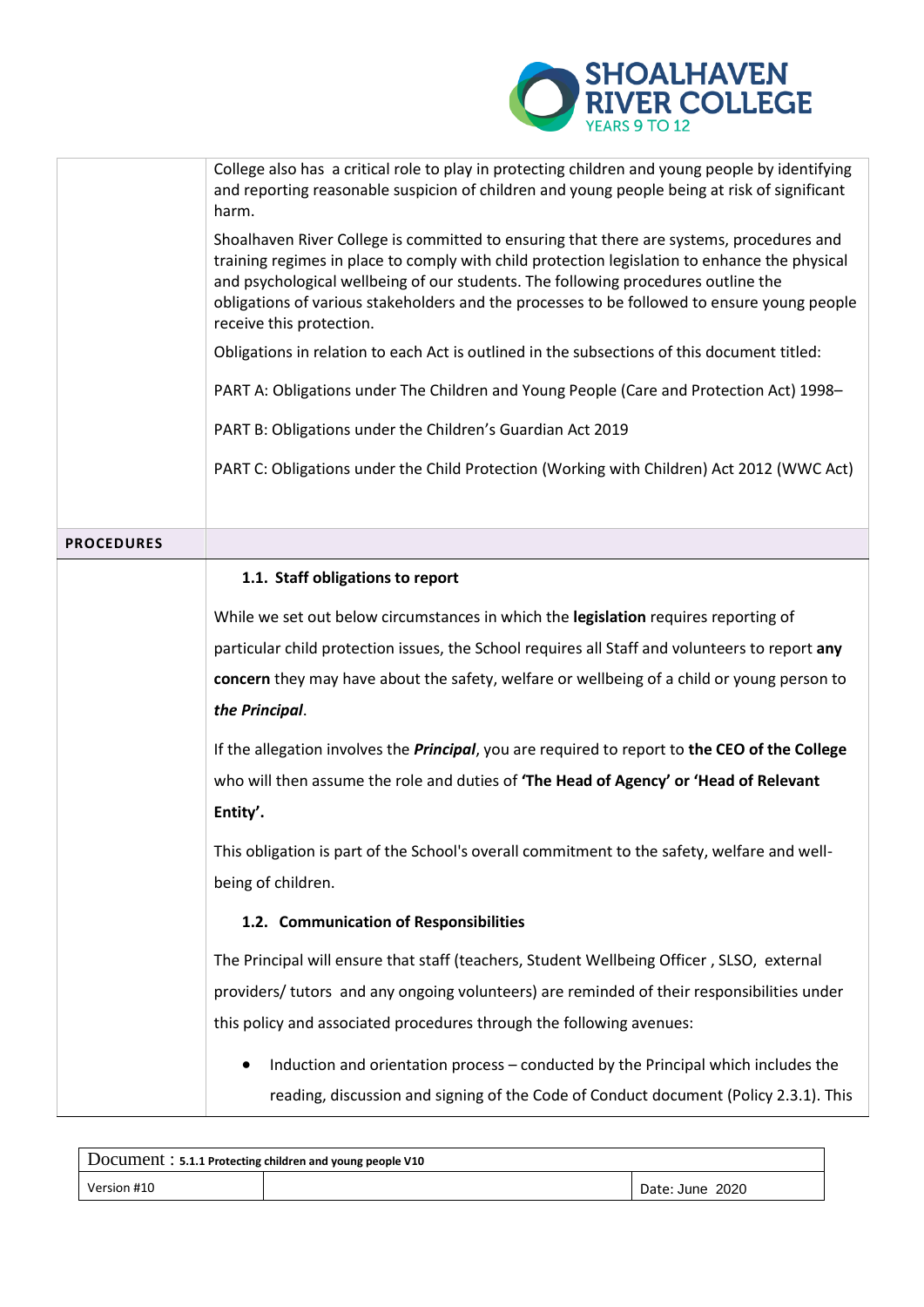

|                   | College also has a critical role to play in protecting children and young people by identifying<br>and reporting reasonable suspicion of children and young people being at risk of significant<br>harm.                                                                                                                                                                                                  |
|-------------------|-----------------------------------------------------------------------------------------------------------------------------------------------------------------------------------------------------------------------------------------------------------------------------------------------------------------------------------------------------------------------------------------------------------|
|                   | Shoalhaven River College is committed to ensuring that there are systems, procedures and<br>training regimes in place to comply with child protection legislation to enhance the physical<br>and psychological wellbeing of our students. The following procedures outline the<br>obligations of various stakeholders and the processes to be followed to ensure young people<br>receive this protection. |
|                   | Obligations in relation to each Act is outlined in the subsections of this document titled:                                                                                                                                                                                                                                                                                                               |
|                   | PART A: Obligations under The Children and Young People (Care and Protection Act) 1998-                                                                                                                                                                                                                                                                                                                   |
|                   | PART B: Obligations under the Children's Guardian Act 2019                                                                                                                                                                                                                                                                                                                                                |
|                   | PART C: Obligations under the Child Protection (Working with Children) Act 2012 (WWC Act)                                                                                                                                                                                                                                                                                                                 |
|                   |                                                                                                                                                                                                                                                                                                                                                                                                           |
| <b>PROCEDURES</b> |                                                                                                                                                                                                                                                                                                                                                                                                           |
|                   | 1.1. Staff obligations to report                                                                                                                                                                                                                                                                                                                                                                          |
|                   | While we set out below circumstances in which the legislation requires reporting of                                                                                                                                                                                                                                                                                                                       |
|                   | particular child protection issues, the School requires all Staff and volunteers to report any                                                                                                                                                                                                                                                                                                            |
|                   | concern they may have about the safety, welfare or wellbeing of a child or young person to                                                                                                                                                                                                                                                                                                                |
|                   | the Principal.                                                                                                                                                                                                                                                                                                                                                                                            |
|                   | If the allegation involves the Principal, you are required to report to the CEO of the College                                                                                                                                                                                                                                                                                                            |
|                   | who will then assume the role and duties of 'The Head of Agency' or 'Head of Relevant                                                                                                                                                                                                                                                                                                                     |
|                   | Entity'.                                                                                                                                                                                                                                                                                                                                                                                                  |
|                   | This obligation is part of the School's overall commitment to the safety, welfare and well-                                                                                                                                                                                                                                                                                                               |
|                   | being of children.                                                                                                                                                                                                                                                                                                                                                                                        |
|                   | 1.2. Communication of Responsibilities                                                                                                                                                                                                                                                                                                                                                                    |
|                   | The Principal will ensure that staff (teachers, Student Wellbeing Officer, SLSO, external                                                                                                                                                                                                                                                                                                                 |
|                   | providers/ tutors and any ongoing volunteers) are reminded of their responsibilities under                                                                                                                                                                                                                                                                                                                |
|                   | this policy and associated procedures through the following avenues:                                                                                                                                                                                                                                                                                                                                      |
|                   | Induction and orientation process - conducted by the Principal which includes the                                                                                                                                                                                                                                                                                                                         |
|                   | reading, discussion and signing of the Code of Conduct document (Policy 2.3.1). This                                                                                                                                                                                                                                                                                                                      |

| DOCUMENt: 5.1.1 Protecting children and young people V10 |  |                 |  |
|----------------------------------------------------------|--|-----------------|--|
| Version #10                                              |  | Date: June 2020 |  |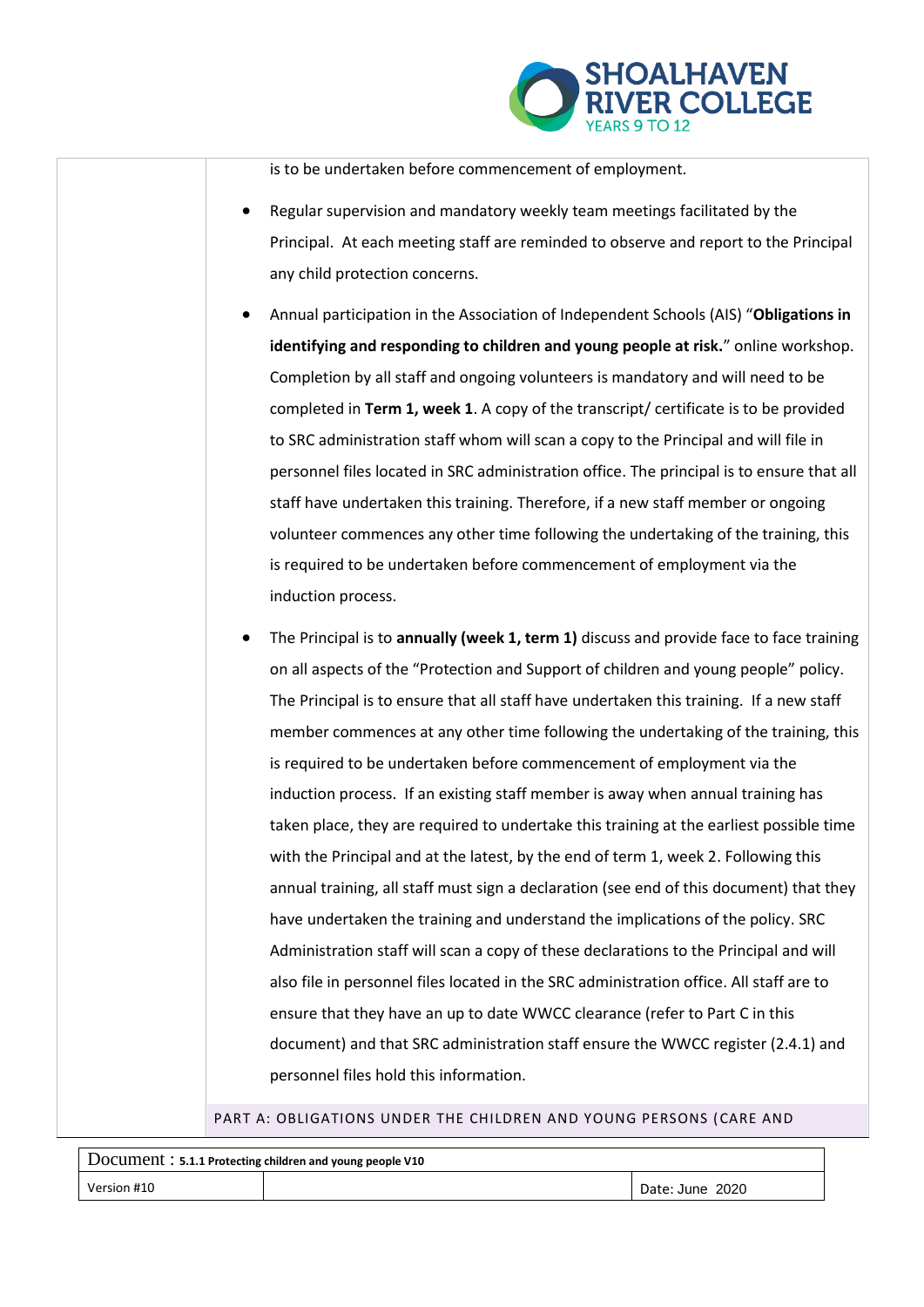

is to be undertaken before commencement of employment.

- Regular supervision and mandatory weekly team meetings facilitated by the Principal. At each meeting staff are reminded to observe and report to the Principal any child protection concerns.
- Annual participation in the Association of Independent Schools (AIS) "**Obligations in identifying and responding to children and young people at risk.**" online workshop. Completion by all staff and ongoing volunteers is mandatory and will need to be completed in **Term 1, week 1**. A copy of the transcript/ certificate is to be provided to SRC administration staff whom will scan a copy to the Principal and will file in personnel files located in SRC administration office. The principal is to ensure that all staff have undertaken this training. Therefore, if a new staff member or ongoing volunteer commences any other time following the undertaking of the training, this is required to be undertaken before commencement of employment via the induction process.
- The Principal is to **annually (week 1, term 1)** discuss and provide face to face training on all aspects of the "Protection and Support of children and young people" policy. The Principal is to ensure that all staff have undertaken this training. If a new staff member commences at any other time following the undertaking of the training, this is required to be undertaken before commencement of employment via the induction process. If an existing staff member is away when annual training has taken place, they are required to undertake this training at the earliest possible time with the Principal and at the latest, by the end of term 1, week 2. Following this annual training, all staff must sign a declaration (see end of this document) that they have undertaken the training and understand the implications of the policy. SRC Administration staff will scan a copy of these declarations to the Principal and will also file in personnel files located in the SRC administration office. All staff are to ensure that they have an up to date WWCC clearance (refer to Part C in this document) and that SRC administration staff ensure the WWCC register (2.4.1) and personnel files hold this information.

PART A: OBLIGATIONS UNDER THE CHILDREN AND YOUNG PERSONS (CARE AND

| DOCUMENt: 5.1.1 Protecting children and young people V10 |  |                 |
|----------------------------------------------------------|--|-----------------|
| Version #10                                              |  | Date: June 2020 |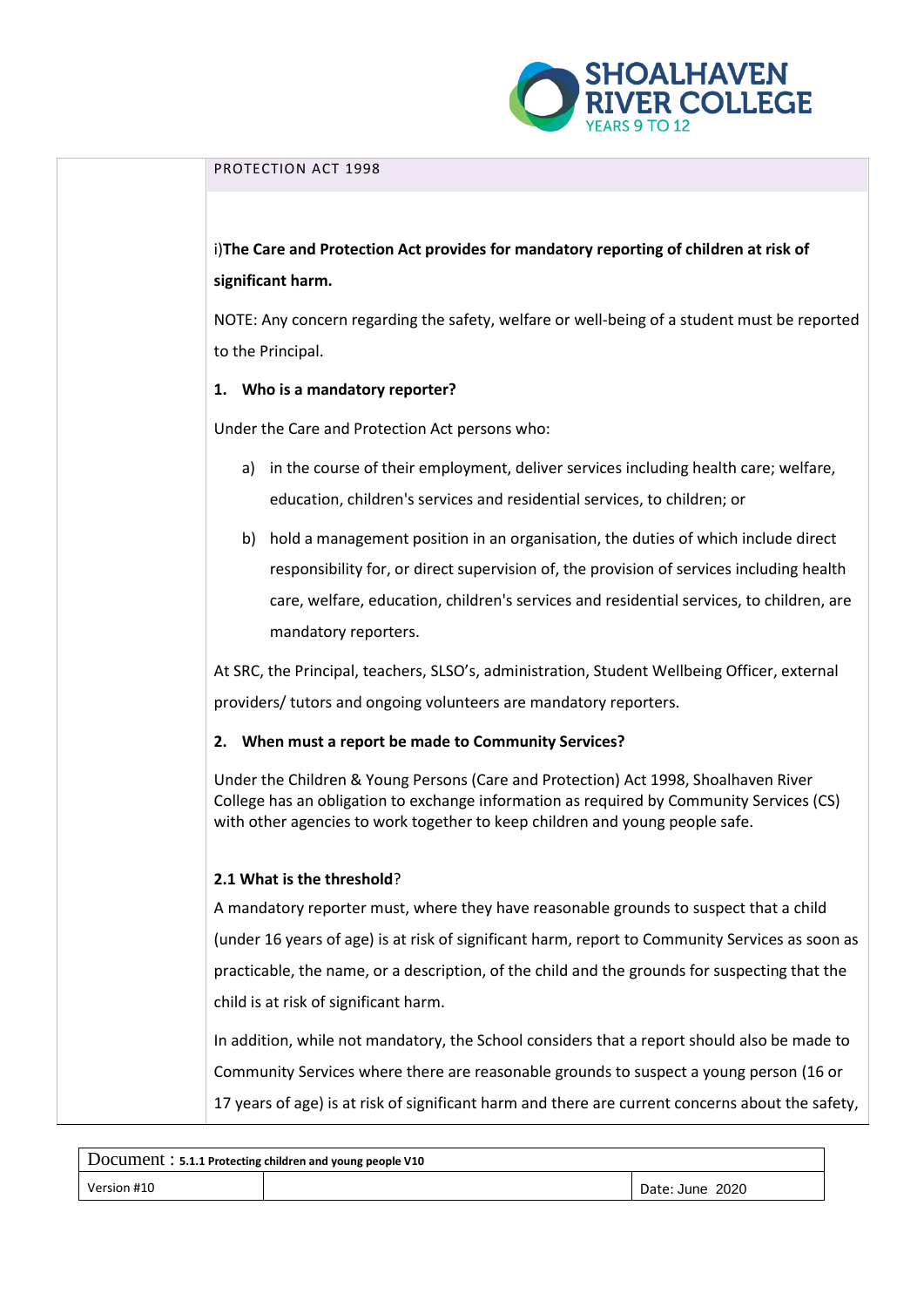

## PROTECTION ACT 1998

i)**The Care and Protection Act provides for mandatory reporting of children at risk of significant harm.**

NOTE: Any concern regarding the safety, welfare or well-being of a student must be reported to the Principal.

#### **1. Who is a mandatory reporter?**

Under the Care and Protection Act persons who:

- a) in the course of their employment, deliver services including health care; welfare, education, children's services and residential services, to children; or
- b) hold a management position in an organisation, the duties of which include direct responsibility for, or direct supervision of, the provision of services including health care, welfare, education, children's services and residential services, to children, are mandatory reporters.

At SRC, the Principal, teachers, SLSO's, administration, Student Wellbeing Officer, external providers/ tutors and ongoing volunteers are mandatory reporters.

#### **2. When must a report be made to Community Services?**

Under the Children & Young Persons (Care and Protection) Act 1998, Shoalhaven River College has an obligation to exchange information as required by Community Services (CS) with other agencies to work together to keep children and young people safe.

#### **2.1 What is the threshold**?

A mandatory reporter must, where they have reasonable grounds to suspect that a child (under 16 years of age) is at risk of significant harm, report to Community Services as soon as practicable, the name, or a description, of the child and the grounds for suspecting that the child is at risk of significant harm.

In addition, while not mandatory, the School considers that a report should also be made to Community Services where there are reasonable grounds to suspect a young person (16 or 17 years of age) is at risk of significant harm and there are current concerns about the safety,

| DOCUMENT: 5.1.1 Protecting children and young people V10 |  |                 |
|----------------------------------------------------------|--|-----------------|
| Version #10                                              |  | Date: June 2020 |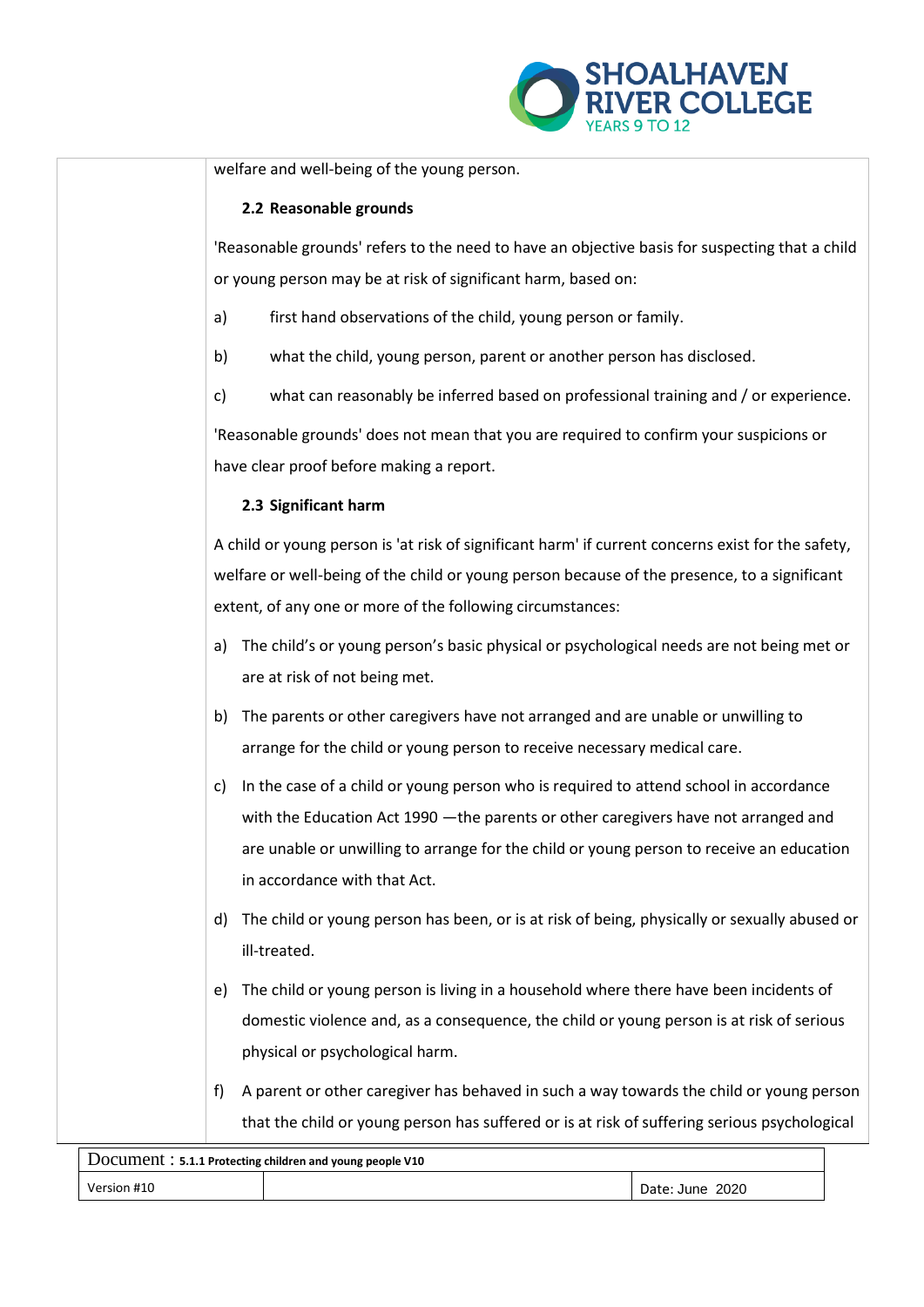

welfare and well-being of the young person.

## **2.2 Reasonable grounds**

'Reasonable grounds' refers to the need to have an objective basis for suspecting that a child or young person may be at risk of significant harm, based on:

- a) first hand observations of the child, young person or family.
- b) what the child, young person, parent or another person has disclosed.
- c) what can reasonably be inferred based on professional training and / or experience.

'Reasonable grounds' does not mean that you are required to confirm your suspicions or have clear proof before making a report.

## **2.3 Significant harm**

A child or young person is 'at risk of significant harm' if current concerns exist for the safety, welfare or well-being of the child or young person because of the presence, to a significant extent, of any one or more of the following circumstances:

- a) The child's or young person's basic physical or psychological needs are not being met or are at risk of not being met.
- b) The parents or other caregivers have not arranged and are unable or unwilling to arrange for the child or young person to receive necessary medical care.
- c) In the case of a child or young person who is required to attend school in accordance with the Education Act 1990 —the parents or other caregivers have not arranged and are unable or unwilling to arrange for the child or young person to receive an education in accordance with that Act.
- d) The child or young person has been, or is at risk of being, physically or sexually abused or ill-treated.
- e) The child or young person is living in a household where there have been incidents of domestic violence and, as a consequence, the child or young person is at risk of serious physical or psychological harm.
- f) A parent or other caregiver has behaved in such a way towards the child or young person that the child or young person has suffered or is at risk of suffering serious psychological

Document : **5.1.1 Protecting children and young people V10**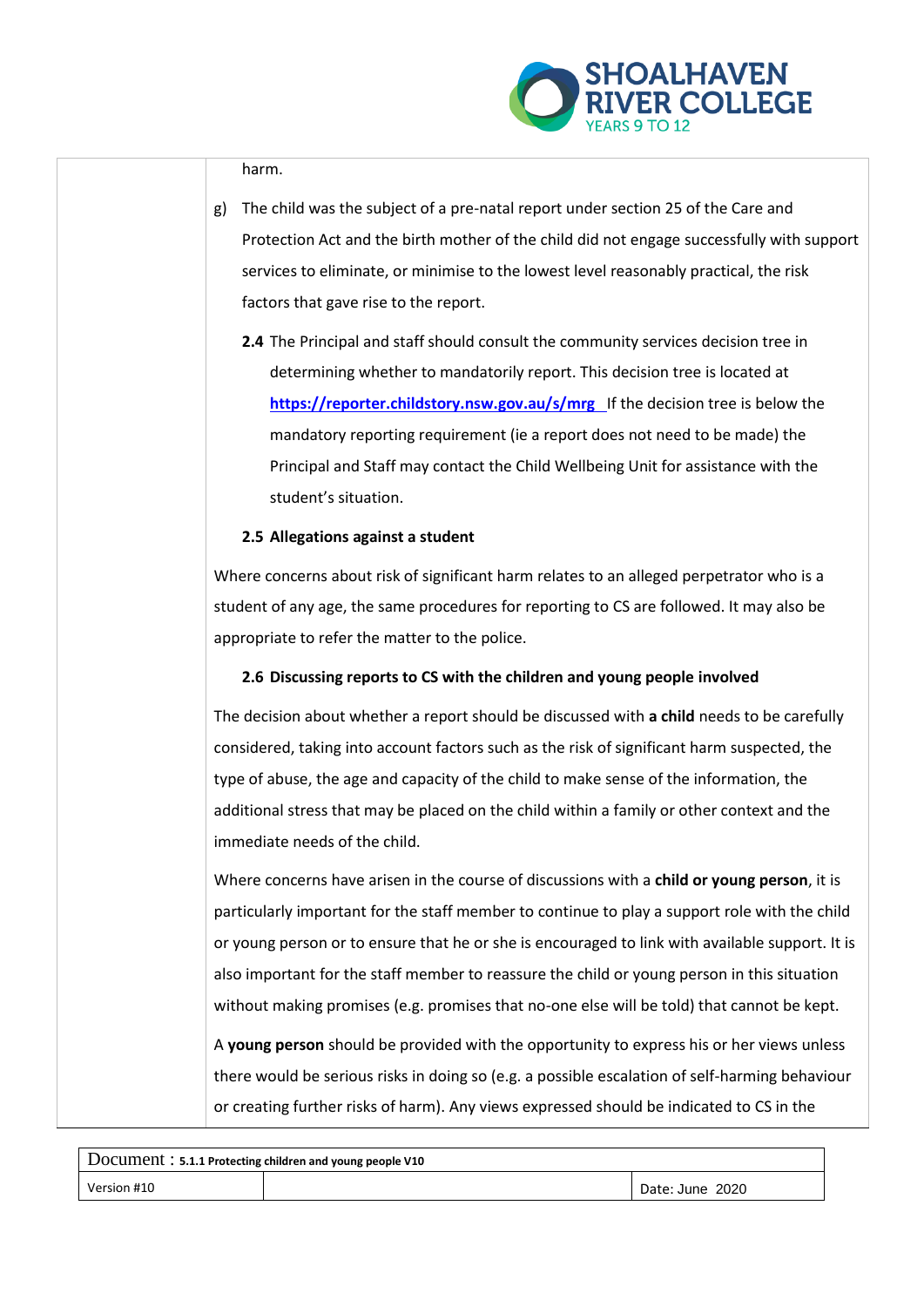

#### harm.

- g) The child was the subject of a pre-natal report under section 25 of the Care and Protection Act and the birth mother of the child did not engage successfully with support services to eliminate, or minimise to the lowest level reasonably practical, the risk factors that gave rise to the report.
	- **2.4** The Principal and staff should consult the community services decision tree in determining whether to mandatorily report. This decision tree is located at **<https://reporter.childstory.nsw.gov.au/s/mrg>**If the decision tree is below the mandatory reporting requirement (ie a report does not need to be made) the Principal and Staff may contact the Child Wellbeing Unit for assistance with the student's situation.

#### **2.5 Allegations against a student**

Where concerns about risk of significant harm relates to an alleged perpetrator who is a student of any age, the same procedures for reporting to CS are followed. It may also be appropriate to refer the matter to the police.

#### **2.6 Discussing reports to CS with the children and young people involved**

The decision about whether a report should be discussed with **a child** needs to be carefully considered, taking into account factors such as the risk of significant harm suspected, the type of abuse, the age and capacity of the child to make sense of the information, the additional stress that may be placed on the child within a family or other context and the immediate needs of the child.

Where concerns have arisen in the course of discussions with a **child or young person**, it is particularly important for the staff member to continue to play a support role with the child or young person or to ensure that he or she is encouraged to link with available support. It is also important for the staff member to reassure the child or young person in this situation without making promises (e.g. promises that no-one else will be told) that cannot be kept.

A **young person** should be provided with the opportunity to express his or her views unless there would be serious risks in doing so (e.g. a possible escalation of self-harming behaviour or creating further risks of harm). Any views expressed should be indicated to CS in the

| $\sim$ Document: 5.1.1 Protecting children and young people V10 |  |                 |  |
|-----------------------------------------------------------------|--|-----------------|--|
| Version #10                                                     |  | Date: June 2020 |  |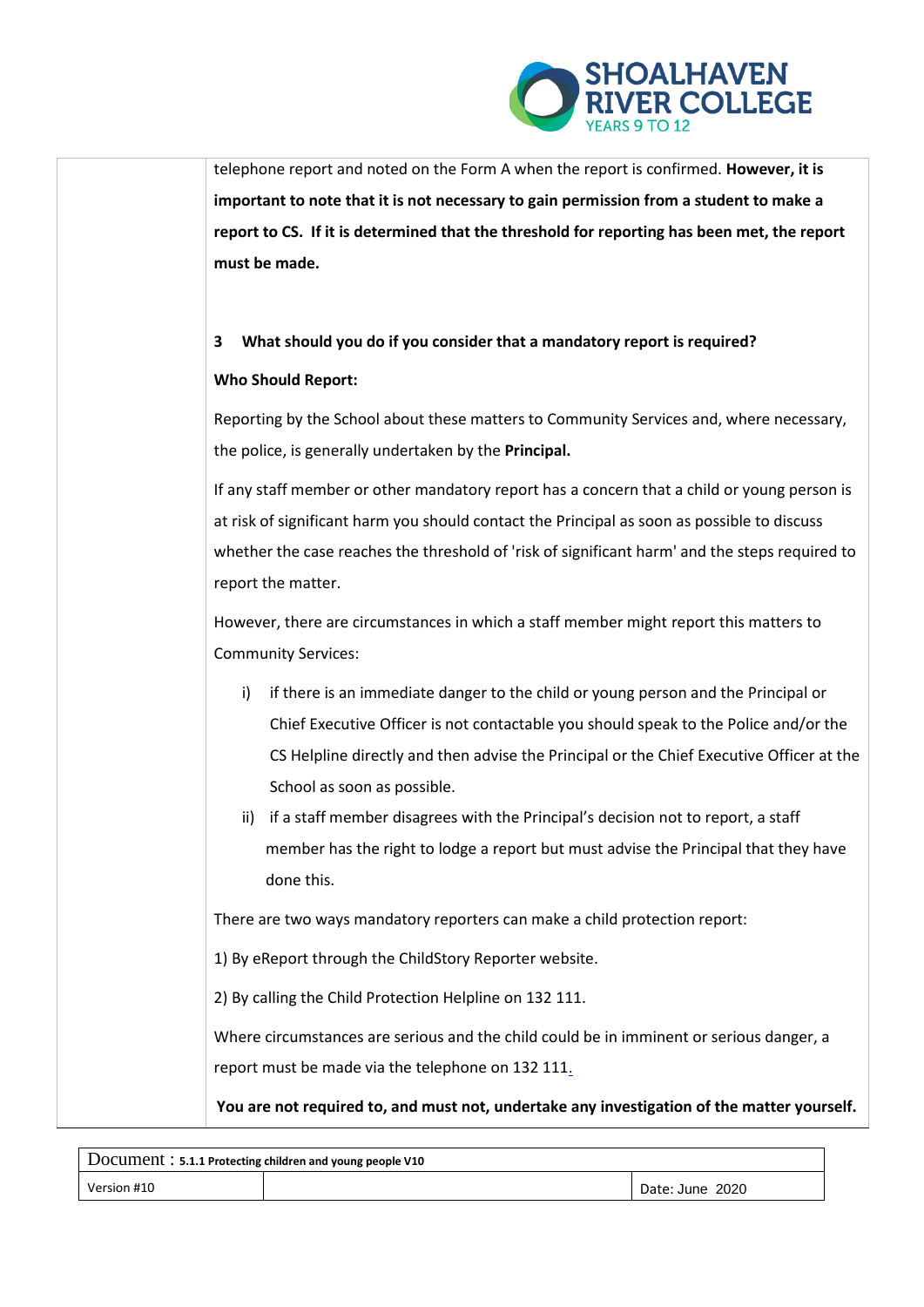

telephone report and noted on the Form A when the report is confirmed. **However, it is important to note that it is not necessary to gain permission from a student to make a report to CS. If it is determined that the threshold for reporting has been met, the report must be made.**

# **3 What should you do if you consider that a mandatory report is required?**

## **Who Should Report:**

Reporting by the School about these matters to Community Services and, where necessary, the police, is generally undertaken by the **Principal.**

If any staff member or other mandatory report has a concern that a child or young person is at risk of significant harm you should contact the Principal as soon as possible to discuss whether the case reaches the threshold of 'risk of significant harm' and the steps required to report the matter.

However, there are circumstances in which a staff member might report this matters to Community Services:

- i) if there is an immediate danger to the child or young person and the Principal or Chief Executive Officer is not contactable you should speak to the Police and/or the CS Helpline directly and then advise the Principal or the Chief Executive Officer at the School as soon as possible.
- ii) if a staff member disagrees with the Principal's decision not to report, a staff member has the right to lodge a report but must advise the Principal that they have done this.

There are two ways mandatory reporters can make a child protection report:

1) By eReport through the [ChildStory](https://reporter.childstory.nsw.gov.au/s/article/How-to-create-an-eReport-in-the-Reporter-Community) Reporter website.

2) By calling the Child Protection Helpline on 132 111.

Where circumstances are serious and the child could be in imminent or serious danger, a report must be made via the telephone on 132 111.

**You are not required to, and must not, undertake any investigation of the matter yourself.**

| DOCUMENT: 5.1.1 Protecting children and young people V10 |  |                 |  |
|----------------------------------------------------------|--|-----------------|--|
| Version #10                                              |  | Date: June 2020 |  |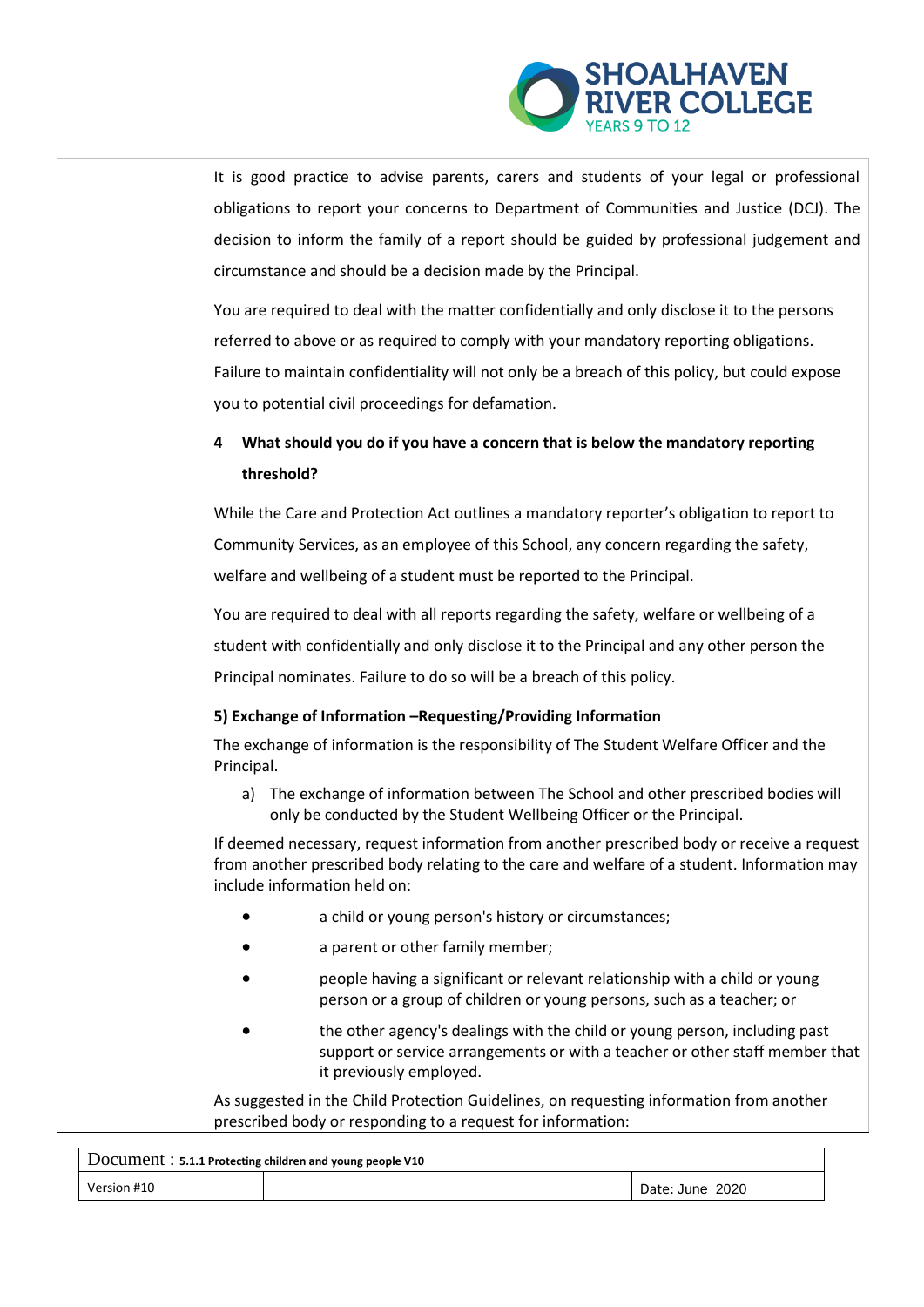

It is good practice to advise parents, carers and students of your legal or professional obligations to report your concerns to Department of Communities and Justice (DCJ). The decision to inform the family of a report should be guided by professional judgement and circumstance and should be a decision made by the Principal.

You are required to deal with the matter confidentially and only disclose it to the persons referred to above or as required to comply with your mandatory reporting obligations. Failure to maintain confidentiality will not only be a breach of this policy, but could expose you to potential civil proceedings for defamation.

# **4 What should you do if you have a concern that is below the mandatory reporting threshold?**

While the Care and Protection Act outlines a mandatory reporter's obligation to report to Community Services, as an employee of this School, any concern regarding the safety, welfare and wellbeing of a student must be reported to the Principal.

You are required to deal with all reports regarding the safety, welfare or wellbeing of a student with confidentially and only disclose it to the Principal and any other person the Principal nominates. Failure to do so will be a breach of this policy.

# **5) Exchange of Information –Requesting/Providing Information**

The exchange of information is the responsibility of The Student Welfare Officer and the Principal.

a) The exchange of information between The School and other prescribed bodies will only be conducted by the Student Wellbeing Officer or the Principal.

If deemed necessary, request information from another prescribed body or receive a request from another prescribed body relating to the care and welfare of a student. Information may include information held on:

- a child or young person's history or circumstances;
- a parent or other family member;
- people having a significant or relevant relationship with a child or young person or a group of children or young persons, such as a teacher; or
- the other agency's dealings with the child or young person, including past support or service arrangements or with a teacher or other staff member that it previously employed.

As suggested in the Child Protection Guidelines, on requesting information from another prescribed body or responding to a request for information:

| DOCUMENI: 5.1.1 Protecting children and young people V10 |  |                 |
|----------------------------------------------------------|--|-----------------|
| Version #10                                              |  | Date: June 2020 |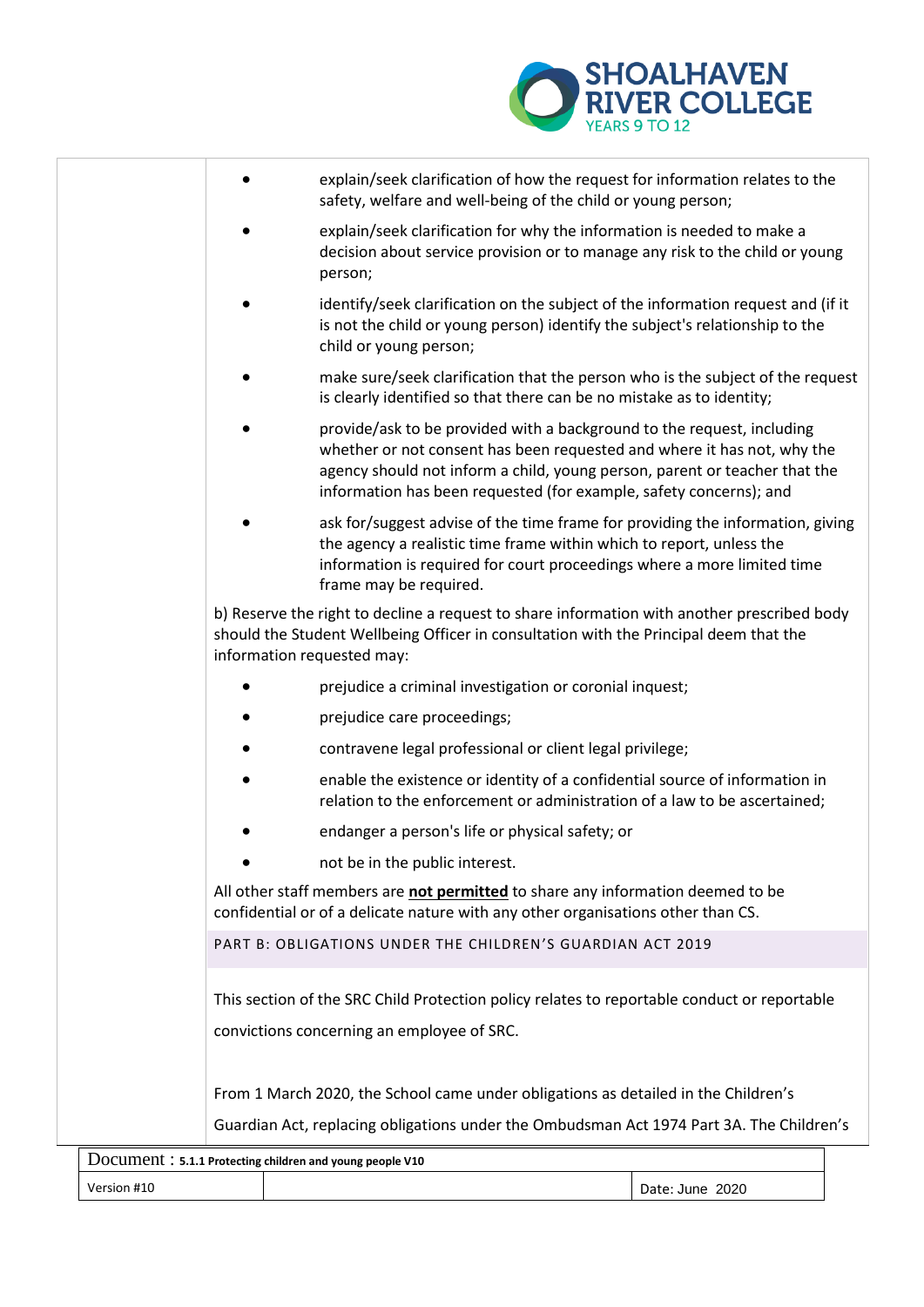

|  | explain/seek clarification of how the request for information relates to the<br>safety, welfare and well-being of the child or young person;                                                                                                                                                          |
|--|-------------------------------------------------------------------------------------------------------------------------------------------------------------------------------------------------------------------------------------------------------------------------------------------------------|
|  | explain/seek clarification for why the information is needed to make a<br>decision about service provision or to manage any risk to the child or young<br>person;                                                                                                                                     |
|  | identify/seek clarification on the subject of the information request and (if it<br>is not the child or young person) identify the subject's relationship to the<br>child or young person;                                                                                                            |
|  | make sure/seek clarification that the person who is the subject of the request<br>is clearly identified so that there can be no mistake as to identity;                                                                                                                                               |
|  | provide/ask to be provided with a background to the request, including<br>whether or not consent has been requested and where it has not, why the<br>agency should not inform a child, young person, parent or teacher that the<br>information has been requested (for example, safety concerns); and |
|  | ask for/suggest advise of the time frame for providing the information, giving<br>the agency a realistic time frame within which to report, unless the<br>information is required for court proceedings where a more limited time<br>frame may be required.                                           |
|  | b) Reserve the right to decline a request to share information with another prescribed body<br>should the Student Wellbeing Officer in consultation with the Principal deem that the<br>information requested may:                                                                                    |
|  | prejudice a criminal investigation or coronial inquest;                                                                                                                                                                                                                                               |
|  | prejudice care proceedings;                                                                                                                                                                                                                                                                           |
|  | contravene legal professional or client legal privilege;                                                                                                                                                                                                                                              |
|  | enable the existence or identity of a confidential source of information in<br>relation to the enforcement or administration of a law to be ascertained;                                                                                                                                              |
|  | endanger a person's life or physical safety; or                                                                                                                                                                                                                                                       |
|  | not be in the public interest.                                                                                                                                                                                                                                                                        |
|  | All other staff members are not permitted to share any information deemed to be<br>confidential or of a delicate nature with any other organisations other than CS.                                                                                                                                   |
|  | PART B: OBLIGATIONS UNDER THE CHILDREN'S GUARDIAN ACT 2019                                                                                                                                                                                                                                            |
|  | This section of the SRC Child Protection policy relates to reportable conduct or reportable                                                                                                                                                                                                           |
|  | convictions concerning an employee of SRC.                                                                                                                                                                                                                                                            |
|  | From 1 March 2020, the School came under obligations as detailed in the Children's                                                                                                                                                                                                                    |
|  | Guardian Act, replacing obligations under the Ombudsman Act 1974 Part 3A. The Children's                                                                                                                                                                                                              |
|  |                                                                                                                                                                                                                                                                                                       |

Document : **5.1.1 Protecting children and young people V10**

Version #10 **Date:** June 2020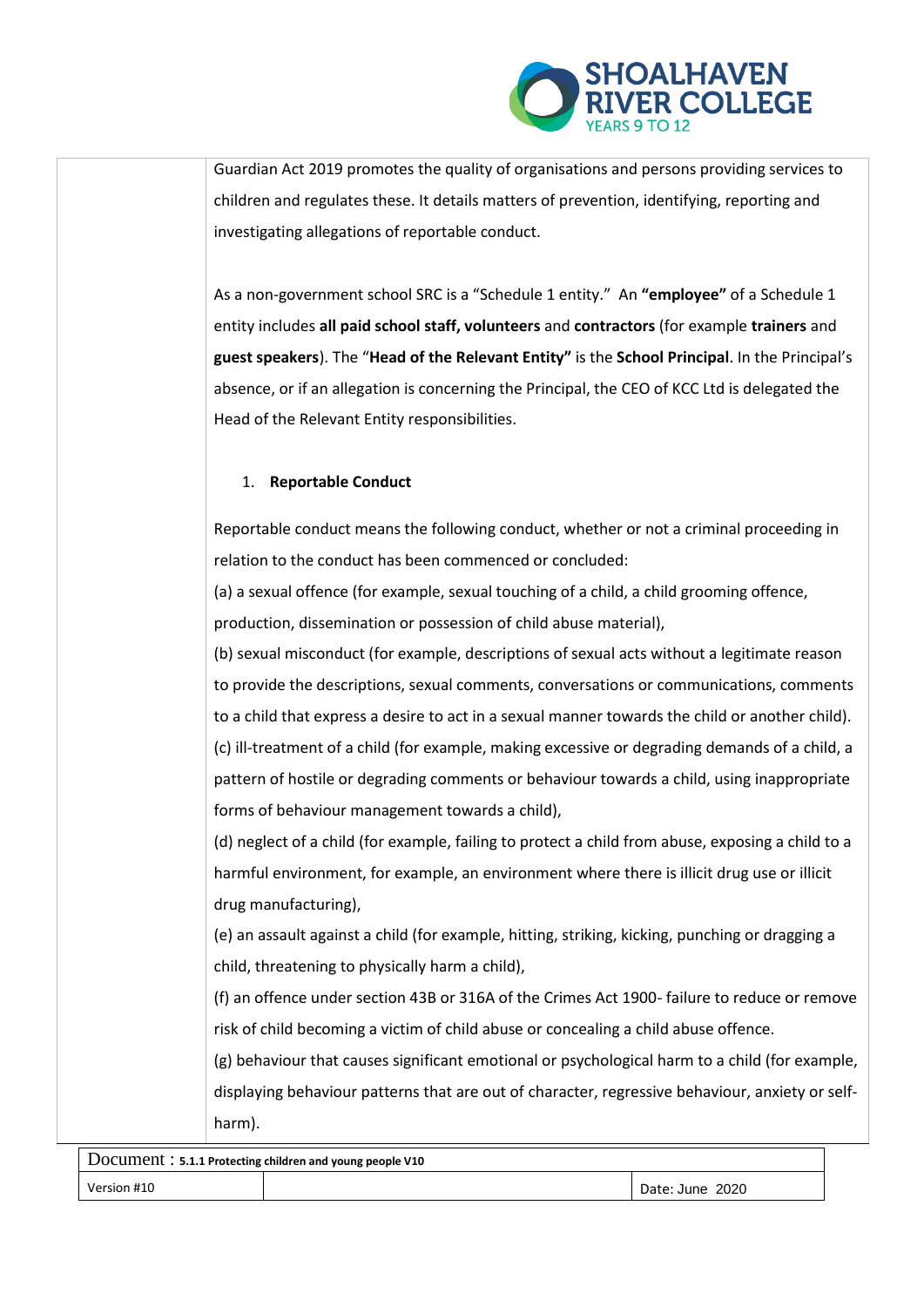

Guardian Act 2019 promotes the quality of organisations and persons providing services to children and regulates these. It details matters of prevention, identifying, reporting and investigating allegations of reportable conduct.

As a non-government school SRC is a "Schedule 1 entity." An **"employee"** of a Schedule 1 entity includes **all paid school staff, volunteers** and **contractors** (for example **trainers** and **guest speakers**). The "**Head of the Relevant Entity"** is the **School Principal**. In the Principal's absence, or if an allegation is concerning the Principal, the CEO of KCC Ltd is delegated the Head of the Relevant Entity responsibilities.

## 1. **Reportable Conduct**

Reportable conduct means the following conduct, whether or not a criminal proceeding in relation to the conduct has been commenced or concluded:

(a) a sexual offence (for example, sexual touching of a child, a child grooming offence, production, dissemination or possession of child abuse material),

(b) sexual misconduct (for example, descriptions of sexual acts without a legitimate reason to provide the descriptions, sexual comments, conversations or communications, comments to a child that express a desire to act in a sexual manner towards the child or another child). (c) ill-treatment of a child (for example, making excessive or degrading demands of a child, a pattern of hostile or degrading comments or behaviour towards a child, using inappropriate forms of behaviour management towards a child),

(d) neglect of a child (for example, failing to protect a child from abuse, exposing a child to a harmful environment, for example, an environment where there is illicit drug use or illicit drug manufacturing),

(e) an assault against a child (for example, hitting, striking, kicking, punching or dragging a child, threatening to physically harm a child),

(f) an offence under section 43B or 316A of the Crimes Act 1900- failure to reduce or remove risk of child becoming a victim of child abuse or concealing a child abuse offence.

(g) behaviour that causes significant emotional or psychological harm to a child (for example, displaying behaviour patterns that are out of character, regressive behaviour, anxiety or selfharm).

Document : **5.1.1 Protecting children and young people V10**

Version #10 Date: June 2020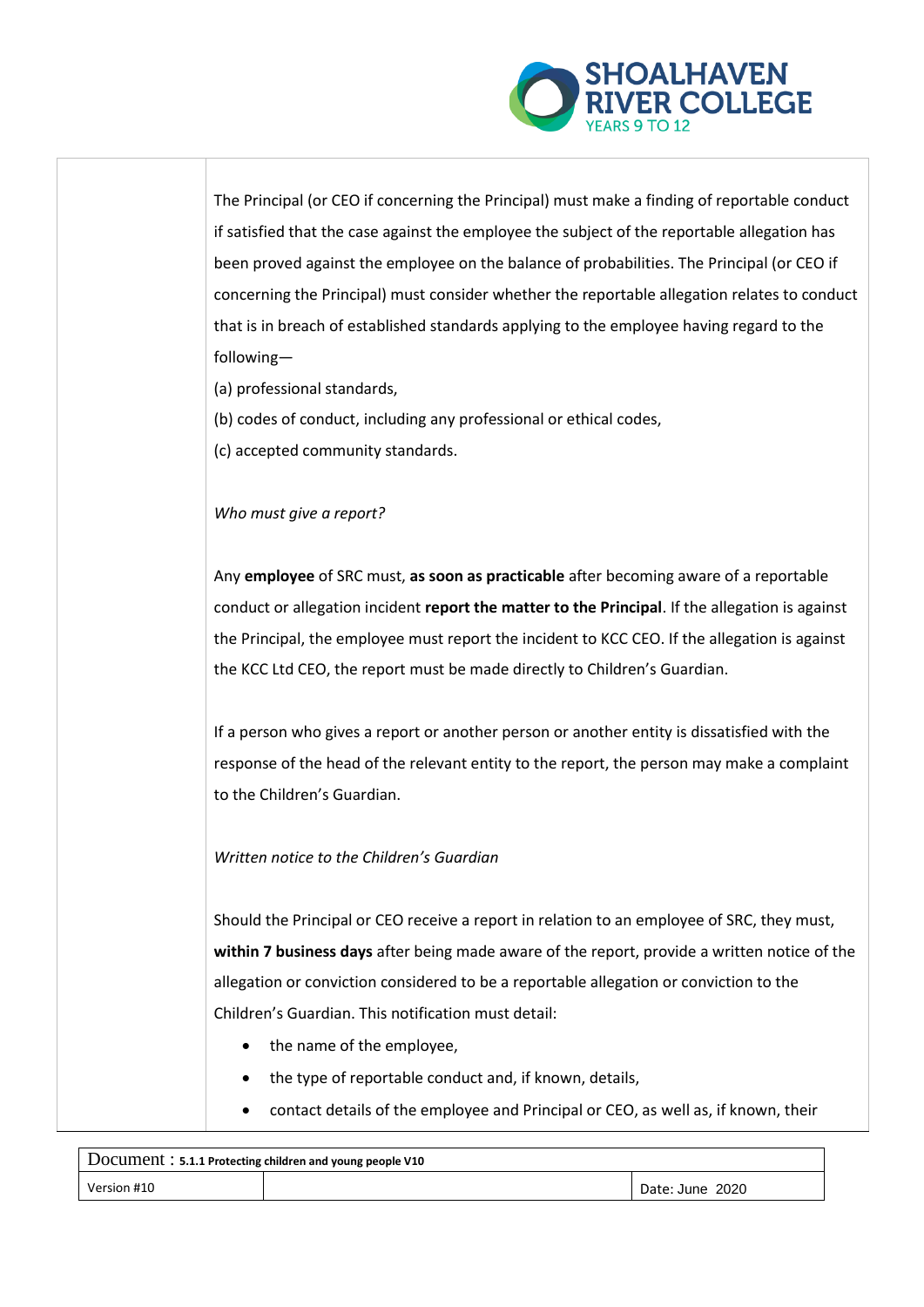

The Principal (or CEO if concerning the Principal) must make a finding of reportable conduct if satisfied that the case against the employee the subject of the reportable allegation has been proved against the employee on the balance of probabilities. The Principal (or CEO if concerning the Principal) must consider whether the reportable allegation relates to conduct that is in breach of established standards applying to the employee having regard to the following—

(a) professional standards,

- (b) codes of conduct, including any professional or ethical codes,
- (c) accepted community standards.

## *Who must give a report?*

Any **employee** of SRC must, **as soon as practicable** after becoming aware of a reportable conduct or allegation incident **report the matter to the Principal**. If the allegation is against the Principal, the employee must report the incident to KCC CEO. If the allegation is against the KCC Ltd CEO, the report must be made directly to Children's Guardian.

If a person who gives a report or another person or another entity is dissatisfied with the response of the head of the relevant entity to the report, the person may make a complaint to the Children's Guardian.

*Written notice to the Children's Guardian* 

Should the Principal or CEO receive a report in relation to an employee of SRC, they must, **within 7 business days** after being made aware of the report, provide a written notice of the allegation or conviction considered to be a reportable allegation or conviction to the Children's Guardian. This notification must detail:

- the name of the employee,
- the type of reportable conduct and, if known, details,
- contact details of the employee and Principal or CEO, as well as, if known, their

| $Document$ : 5.1.1 Protecting children and young people V10 |  |                 |  |
|-------------------------------------------------------------|--|-----------------|--|
| Version #10                                                 |  | Date: June 2020 |  |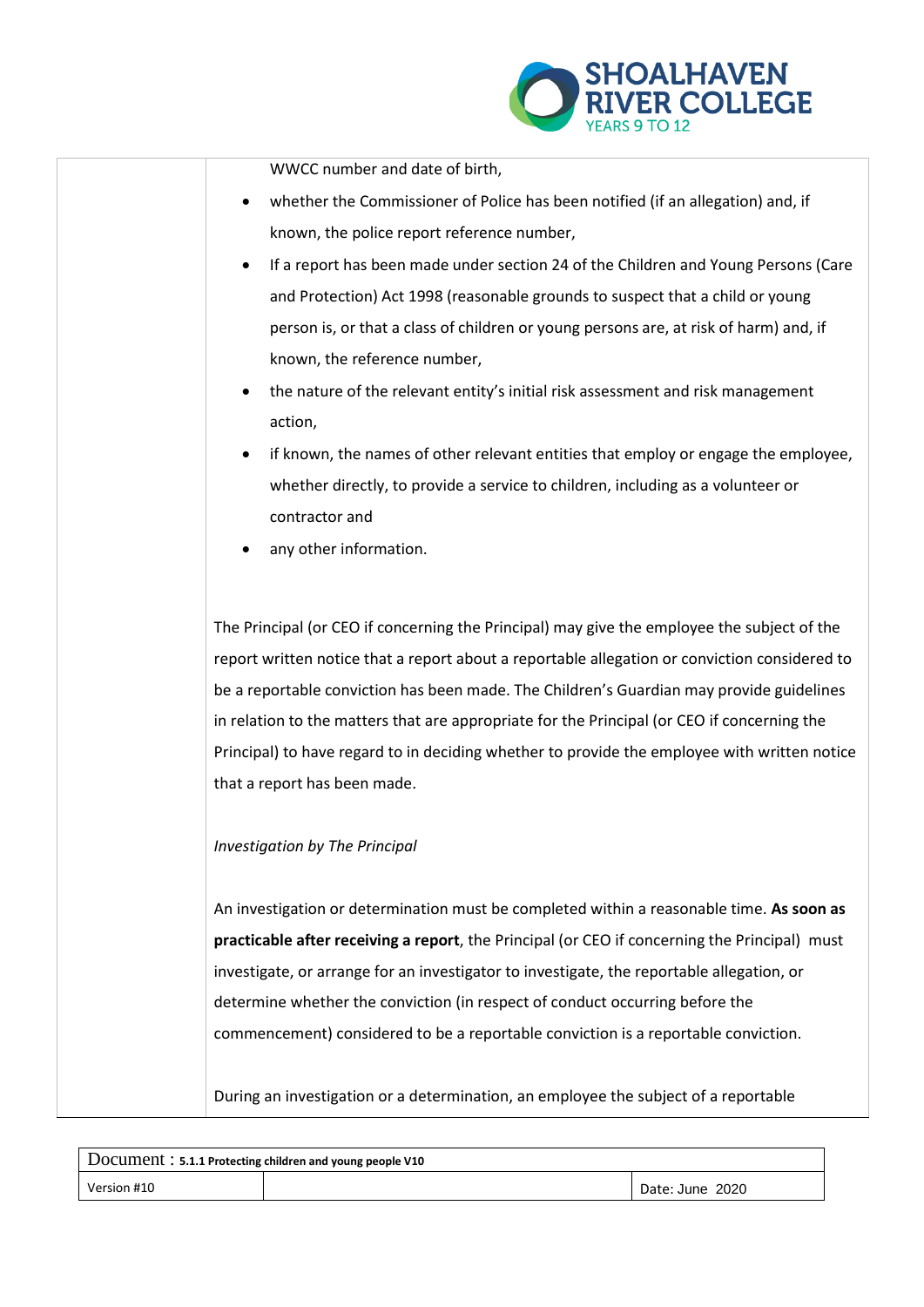

WWCC number and date of birth,

- whether the Commissioner of Police has been notified (if an allegation) and, if known, the police report reference number,
- If a report has been made under section 24 of the Children and Young Persons (Care and Protection) Act 1998 (reasonable grounds to suspect that a child or young person is, or that a class of children or young persons are, at risk of harm) and, if known, the reference number,
- the nature of the relevant entity's initial risk assessment and risk management action,
- if known, the names of other relevant entities that employ or engage the employee, whether directly, to provide a service to children, including as a volunteer or contractor and
- any other information.

The Principal (or CEO if concerning the Principal) may give the employee the subject of the report written notice that a report about a reportable allegation or conviction considered to be a reportable conviction has been made. The Children's Guardian may provide guidelines in relation to the matters that are appropriate for the Principal (or CEO if concerning the Principal) to have regard to in deciding whether to provide the employee with written notice that a report has been made.

#### *Investigation by The Principal*

An investigation or determination must be completed within a reasonable time. **As soon as practicable after receiving a report**, the Principal (or CEO if concerning the Principal) must investigate, or arrange for an investigator to investigate, the reportable allegation, or determine whether the conviction (in respect of conduct occurring before the commencement) considered to be a reportable conviction is a reportable conviction.

During an investigation or a determination, an employee the subject of a reportable

| Document: 5.1.1 Protecting children and young people V10 |  |                 |
|----------------------------------------------------------|--|-----------------|
| Version #10                                              |  | Date: June 2020 |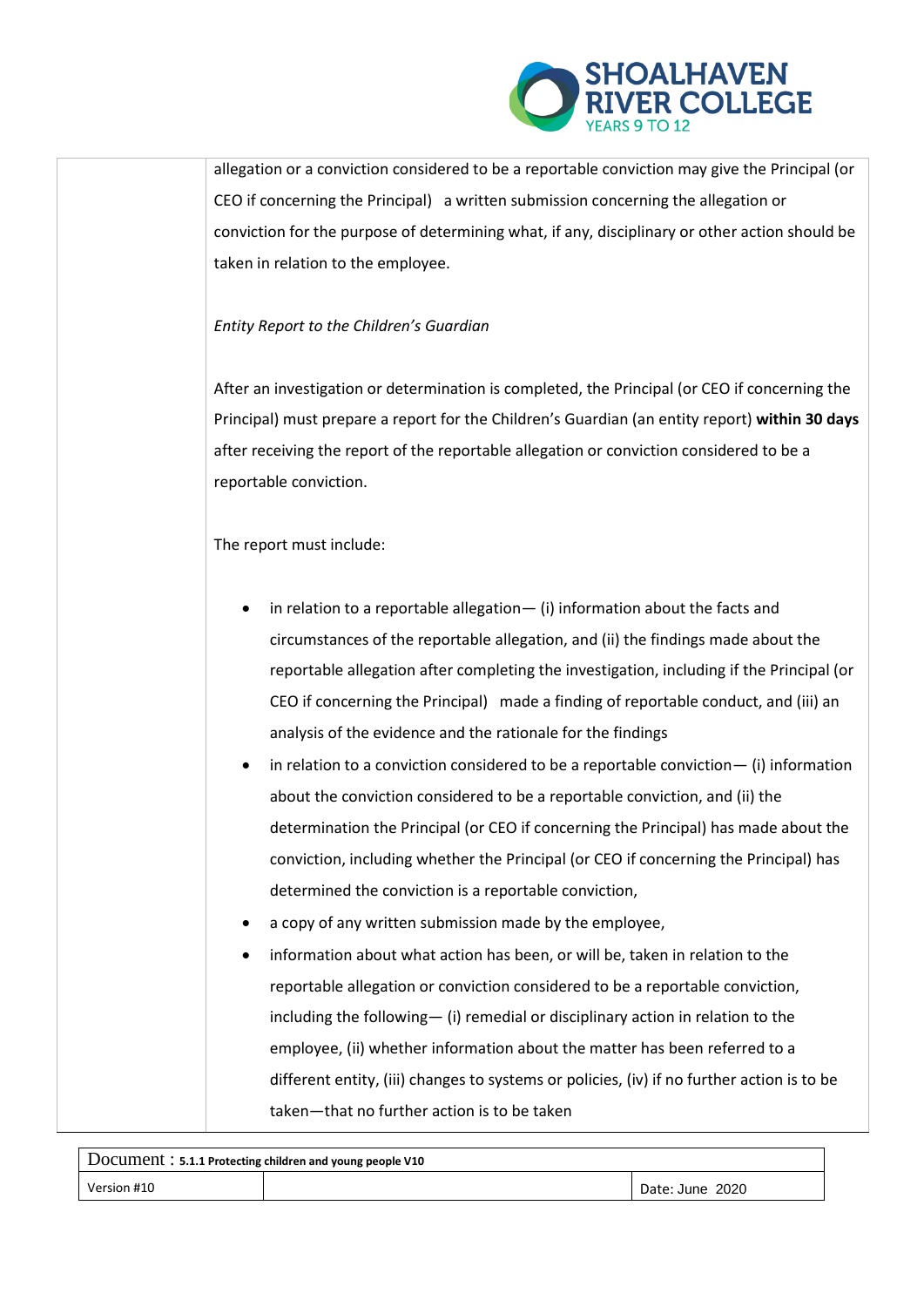

allegation or a conviction considered to be a reportable conviction may give the Principal (or CEO if concerning the Principal) a written submission concerning the allegation or conviction for the purpose of determining what, if any, disciplinary or other action should be taken in relation to the employee.

*Entity Report to the Children's Guardian* 

After an investigation or determination is completed, the Principal (or CEO if concerning the Principal) must prepare a report for the Children's Guardian (an entity report) **within 30 days** after receiving the report of the reportable allegation or conviction considered to be a reportable conviction.

The report must include:

- in relation to a reportable allegation— (i) information about the facts and circumstances of the reportable allegation, and (ii) the findings made about the reportable allegation after completing the investigation, including if the Principal (or CEO if concerning the Principal) made a finding of reportable conduct, and (iii) an analysis of the evidence and the rationale for the findings
- in relation to a conviction considered to be a reportable conviction $-$  (i) information about the conviction considered to be a reportable conviction, and (ii) the determination the Principal (or CEO if concerning the Principal) has made about the conviction, including whether the Principal (or CEO if concerning the Principal) has determined the conviction is a reportable conviction,
- a copy of any written submission made by the employee,
- information about what action has been, or will be, taken in relation to the reportable allegation or conviction considered to be a reportable conviction, including the following— (i) remedial or disciplinary action in relation to the employee, (ii) whether information about the matter has been referred to a different entity, (iii) changes to systems or policies, (iv) if no further action is to be taken—that no further action is to be taken

| $\pm$ Document: 5.1.1 Protecting children and young people V10 |  |                 |
|----------------------------------------------------------------|--|-----------------|
| Version #10                                                    |  | Date: June 2020 |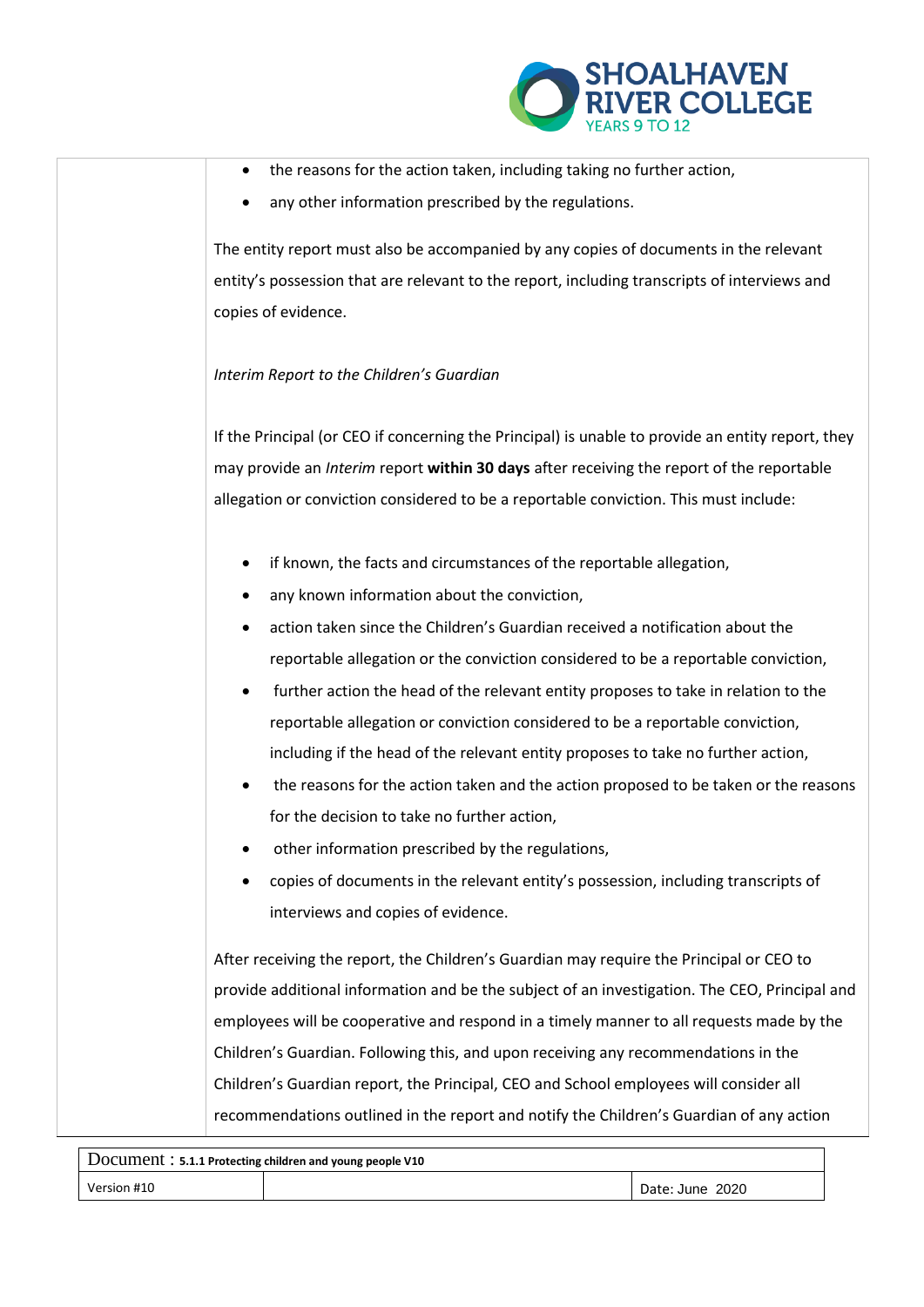

- the reasons for the action taken, including taking no further action,
- any other information prescribed by the regulations.

The entity report must also be accompanied by any copies of documents in the relevant entity's possession that are relevant to the report, including transcripts of interviews and copies of evidence.

## *Interim Report to the Children's Guardian*

If the Principal (or CEO if concerning the Principal) is unable to provide an entity report, they may provide an *Interim* report **within 30 days** after receiving the report of the reportable allegation or conviction considered to be a reportable conviction. This must include:

- if known, the facts and circumstances of the reportable allegation,
- any known information about the conviction,
- action taken since the Children's Guardian received a notification about the reportable allegation or the conviction considered to be a reportable conviction,
- further action the head of the relevant entity proposes to take in relation to the reportable allegation or conviction considered to be a reportable conviction, including if the head of the relevant entity proposes to take no further action,
- the reasons for the action taken and the action proposed to be taken or the reasons for the decision to take no further action,
- other information prescribed by the regulations,
- copies of documents in the relevant entity's possession, including transcripts of interviews and copies of evidence.

After receiving the report, the Children's Guardian may require the Principal or CEO to provide additional information and be the subject of an investigation. The CEO, Principal and employees will be cooperative and respond in a timely manner to all requests made by the Children's Guardian. Following this, and upon receiving any recommendations in the Children's Guardian report, the Principal, CEO and School employees will consider all recommendations outlined in the report and notify the Children's Guardian of any action

Document : **5.1.1 Protecting children and young people V10** Version #10 Date: June 2020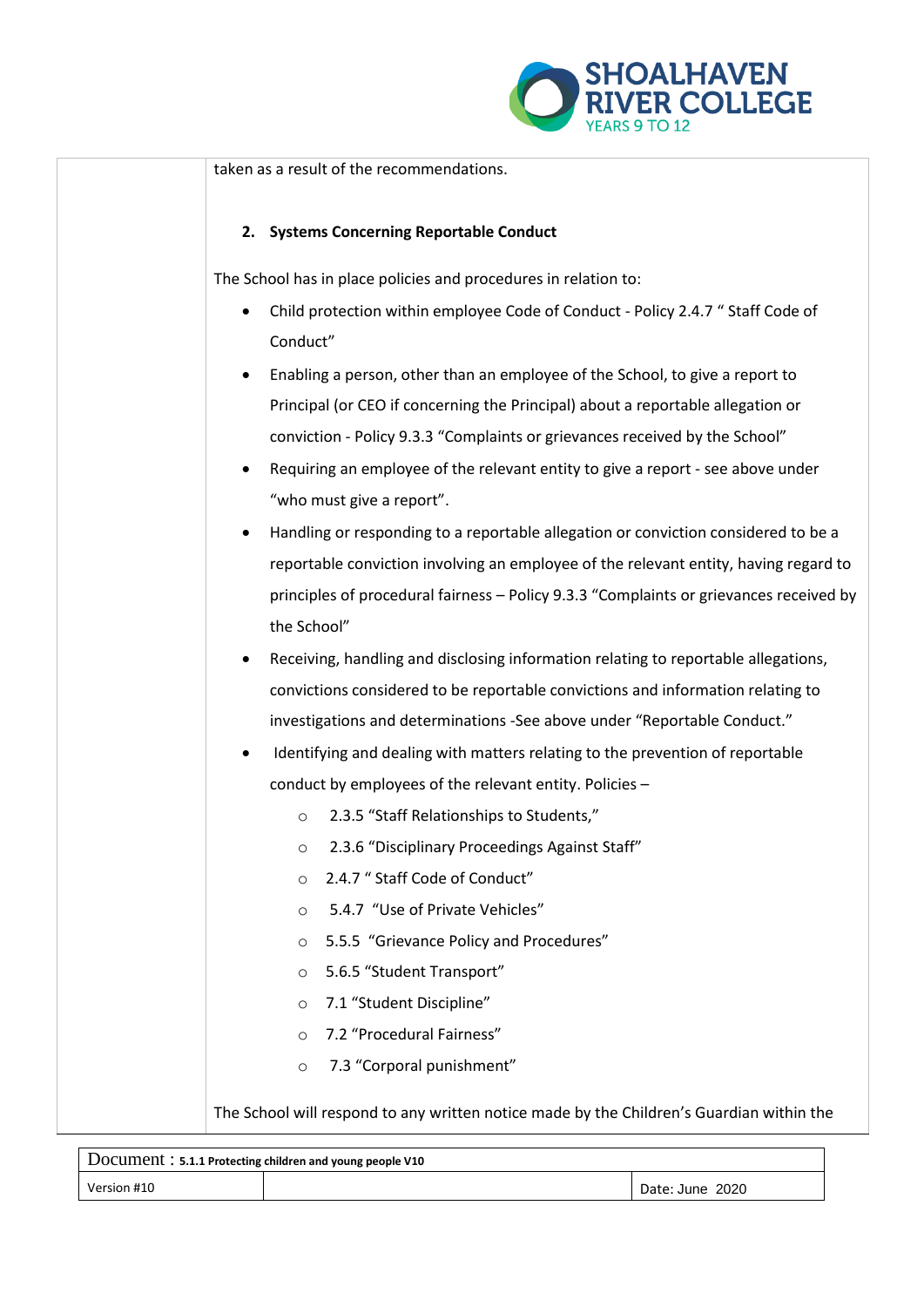

| taken as a result of the recommendations.                                                |
|------------------------------------------------------------------------------------------|
| 2. Systems Concerning Reportable Conduct                                                 |
| The School has in place policies and procedures in relation to:                          |
| Child protection within employee Code of Conduct - Policy 2.4.7 " Staff Code of          |
| Conduct"                                                                                 |
| Enabling a person, other than an employee of the School, to give a report to             |
| Principal (or CEO if concerning the Principal) about a reportable allegation or          |
| conviction - Policy 9.3.3 "Complaints or grievances received by the School"              |
| Requiring an employee of the relevant entity to give a report - see above under          |
| "who must give a report".                                                                |
| Handling or responding to a reportable allegation or conviction considered to be a       |
| reportable conviction involving an employee of the relevant entity, having regard to     |
| principles of procedural fairness - Policy 9.3.3 "Complaints or grievances received by   |
| the School"                                                                              |
| Receiving, handling and disclosing information relating to reportable allegations,       |
| convictions considered to be reportable convictions and information relating to          |
| investigations and determinations -See above under "Reportable Conduct."                 |
| Identifying and dealing with matters relating to the prevention of reportable            |
| conduct by employees of the relevant entity. Policies -                                  |
| 2.3.5 "Staff Relationships to Students,"<br>$\circ$                                      |
| 2.3.6 "Disciplinary Proceedings Against Staff"<br>$\circ$                                |
| 2.4.7 " Staff Code of Conduct"<br>$\circ$                                                |
| 5.4.7 "Use of Private Vehicles"<br>$\circ$                                               |
| 5.5.5 "Grievance Policy and Procedures"<br>$\circ$                                       |
| 5.6.5 "Student Transport"<br>$\circ$                                                     |
| 7.1 "Student Discipline"<br>$\circ$                                                      |
| 7.2 "Procedural Fairness"<br>$\circ$                                                     |
| 7.3 "Corporal punishment"<br>$\circ$                                                     |
| The School will respond to any written notice made by the Children's Guardian within the |

| $\Box$ DOCUMEN $t$ : 5.1.1 Protecting children and young people V10 |  |                 |  |
|---------------------------------------------------------------------|--|-----------------|--|
| Version #10                                                         |  | Date: June 2020 |  |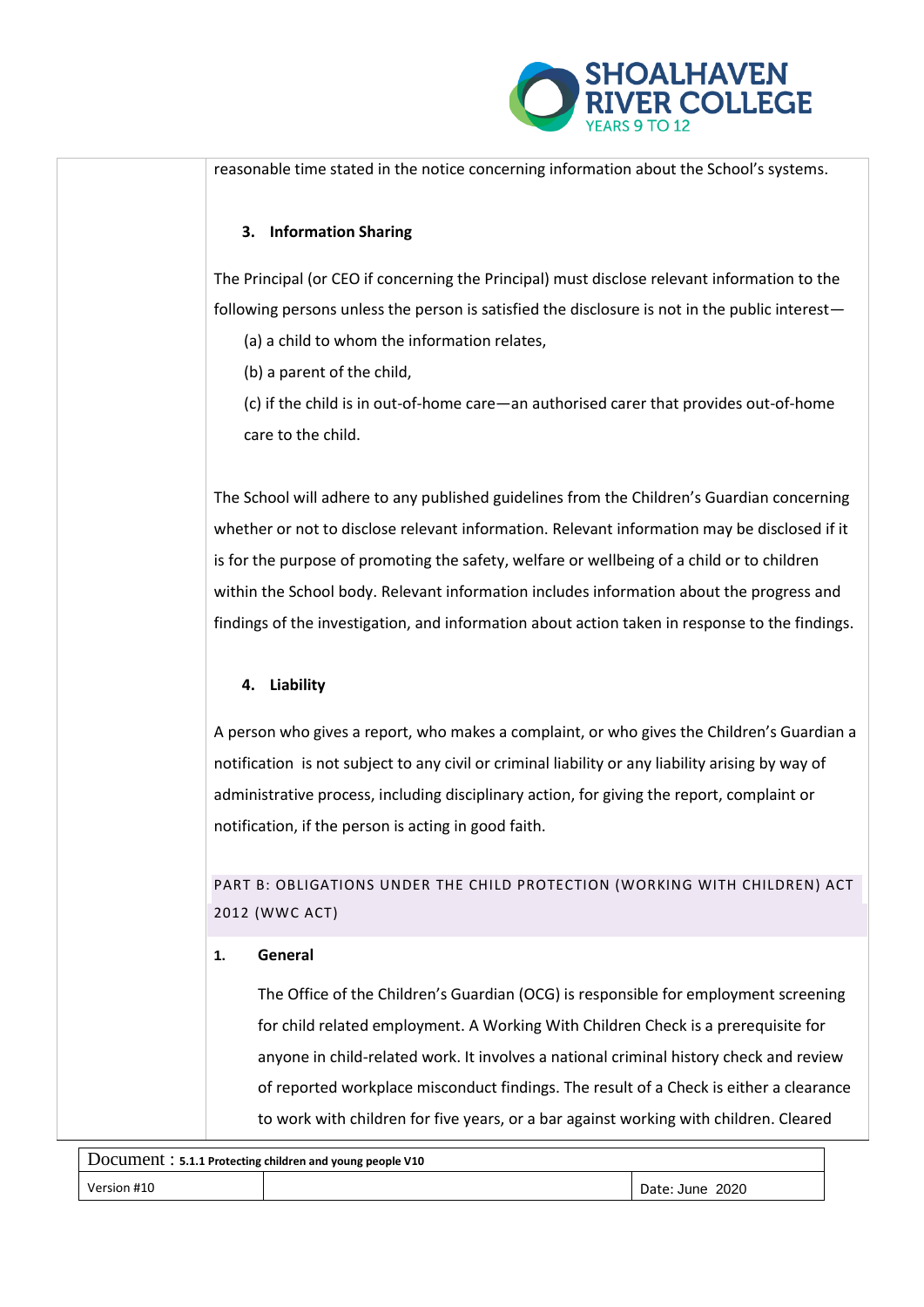

reasonable time stated in the notice concerning information about the School's systems.

## **3. Information Sharing**

The Principal (or CEO if concerning the Principal) must disclose relevant information to the following persons unless the person is satisfied the disclosure is not in the public interest—

(a) a child to whom the information relates,

(b) a parent of the child,

(c) if the child is in out-of-home care—an authorised carer that provides out-of-home care to the child.

The School will adhere to any published guidelines from the Children's Guardian concerning whether or not to disclose relevant information. Relevant information may be disclosed if it is for the purpose of promoting the safety, welfare or wellbeing of a child or to children within the School body. Relevant information includes information about the progress and findings of the investigation, and information about action taken in response to the findings.

#### **4. Liability**

A person who gives a report, who makes a complaint, or who gives the Children's Guardian a notification is not subject to any civil or criminal liability or any liability arising by way of administrative process, including disciplinary action, for giving the report, complaint or notification, if the person is acting in good faith.

PART B: OBLIGATIONS UNDER THE CHILD PROTECTION (WORKING WITH CHILDREN) ACT 2012 (WWC ACT)

#### **1. General**

The Office of the Children's Guardian (OCG) is responsible for employment screening for child related employment. A Working With Children Check is a prerequisite for anyone in child-related work. It involves a national criminal history check and review of reported workplace misconduct findings. The result of a Check is either a clearance to work with children for five years, or a bar against working with children. Cleared

Document : **5.1.1 Protecting children and young people V10** Version #10 Date: June 2020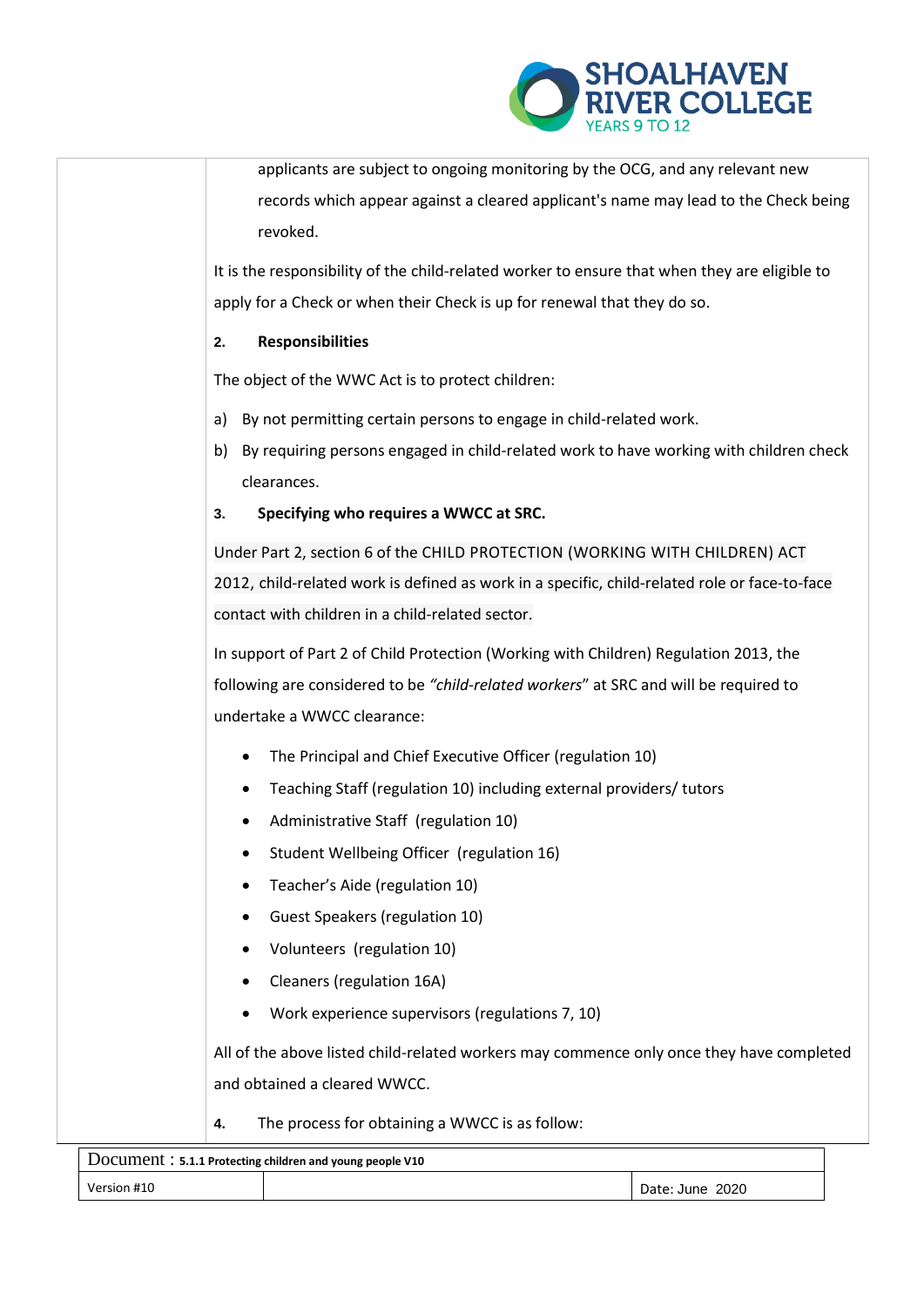

applicants are subject to ongoing monitoring by the OCG, and any relevant new records which appear against a cleared applicant's name may lead to the Check being revoked.

It is the responsibility of the child-related worker to ensure that when they are eligible to apply for a Check or when their Check is up for renewal that they do so.

# **2. Responsibilities**

The object of the WWC Act is to protect children:

- a) By not permitting certain persons to engage in child-related work.
- b) By requiring persons engaged in child-related work to have working with children check clearances.
- **3. Specifying who requires a WWCC at SRC.**

Under Part 2, section 6 of the [CHILD PROTECTION \(WORKING WITH CHILDREN\) ACT](http://www.legislation.nsw.gov.au/maintop/view/inforce/act+51+2012+cd+0+N)  [2012,](http://www.legislation.nsw.gov.au/maintop/view/inforce/act+51+2012+cd+0+N) child-related work is defined as work in a specific, child-related role or face-to-face contact with children in a child-related sector.

In support of Part 2 of Child Protection (Working with Children) Regulation 2013, the following are considered to be *"child-related workers*" at SRC and will be required to undertake a WWCC clearance:

- The Principal and Chief Executive Officer (regulation 10)
- Teaching Staff (regulation 10) including external providers/ tutors
- Administrative Staff (regulation 10)
- Student Wellbeing Officer (regulation 16)
- Teacher's Aide (regulation 10)
- Guest Speakers (regulation 10)
- Volunteers (regulation 10)
- Cleaners (regulation 16A)
- Work experience supervisors (regulations 7, 10)

All of the above listed child-related workers may commence only once they have completed and obtained a cleared WWCC.

**4.** The process for obtaining a WWCC is as follow:

Document : **5.1.1 Protecting children and young people V10** Version #10 Date: June 2020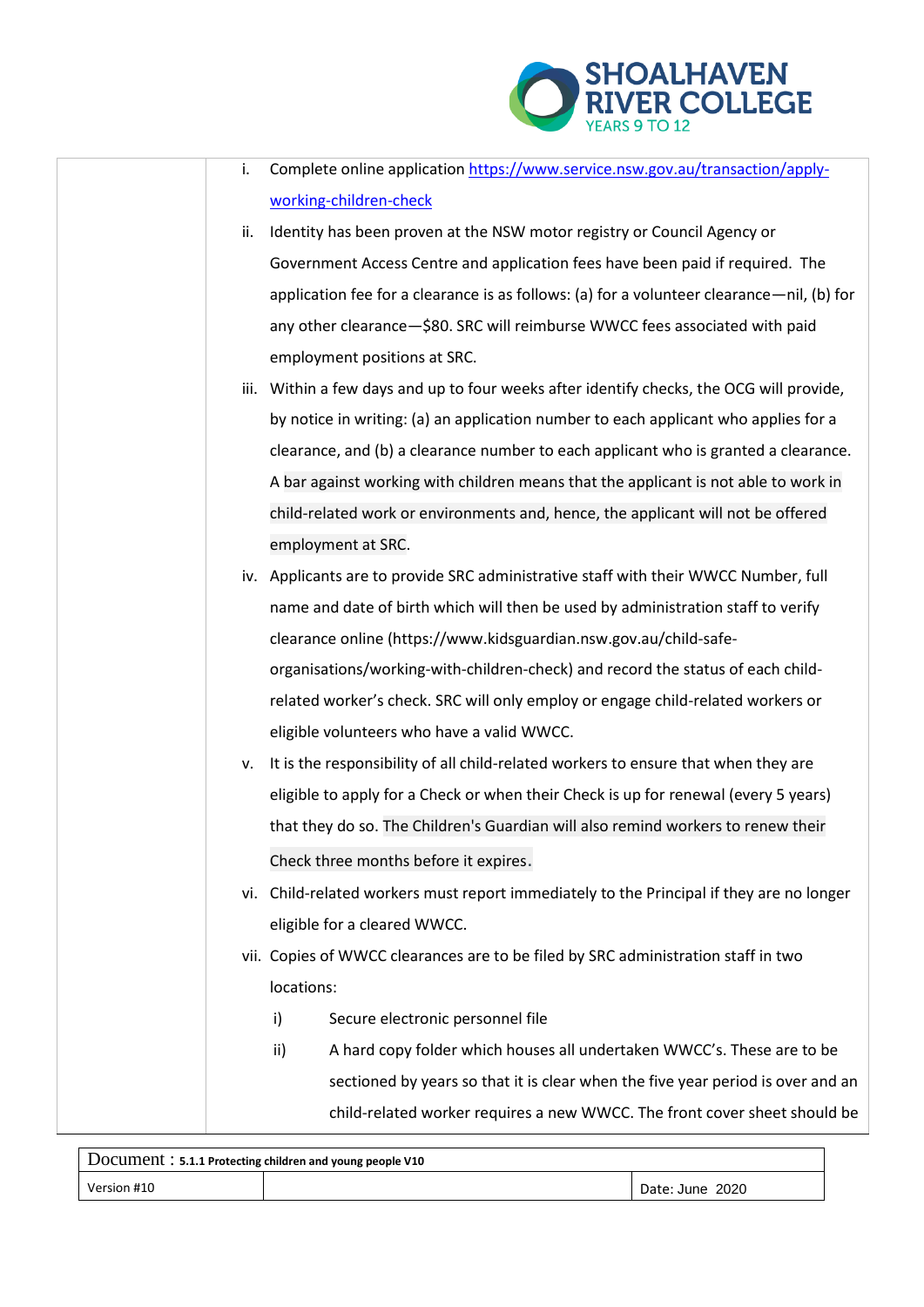

- i. Complete online application [https://www.service.nsw.gov.au/transaction/apply](https://www.service.nsw.gov.au/transaction/apply-working-children-check)[working-children-check](https://www.service.nsw.gov.au/transaction/apply-working-children-check)
- ii. Identity has been proven at the NSW motor registry or Council Agency or Government Access Centre and application fees have been paid if required. The application fee for a clearance is as follows: (a) for a volunteer clearance—nil, (b) for any other clearance—\$80. SRC will reimburse WWCC fees associated with paid employment positions at SRC.
- iii. Within a few days and up to four weeks after identify checks, the OCG will provide, by notice in writing: (a) an application number to each applicant who applies for a clearance, and (b) a clearance number to each applicant who is granted a clearance. A bar against working with children means that the applicant is not able to work in child-related work or environments and, hence, the applicant will not be offered employment at SRC.
- iv. Applicants are to provide SRC administrative staff with their WWCC Number, full name and date of birth which will then be used by administration staff to verify clearance online (https://www.kidsguardian.nsw.gov.au/child-safeorganisations/working-with-children-check) and record the status of each childrelated worker's check. SRC will only employ or engage child-related workers or eligible volunteers who have a valid WWCC.
- v. It is the responsibility of all child-related workers to ensure that when they are eligible to apply for a Check or when their Check is up for renewal (every 5 years) that they do so. The Children's Guardian will also remind workers to renew their Check three months before it expires.
- vi. Child-related workers must report immediately to the Principal if they are no longer eligible for a cleared WWCC.
- vii. Copies of WWCC clearances are to be filed by SRC administration staff in two locations:
	- i) Secure electronic personnel file
	- ii) A hard copy folder which houses all undertaken WWCC's. These are to be sectioned by years so that it is clear when the five year period is over and an child-related worker requires a new WWCC. The front cover sheet should be

| DOCUMENt: 5.1.1 Protecting children and young people V10 |  |                 |
|----------------------------------------------------------|--|-----------------|
| Version #10                                              |  | Date: June 2020 |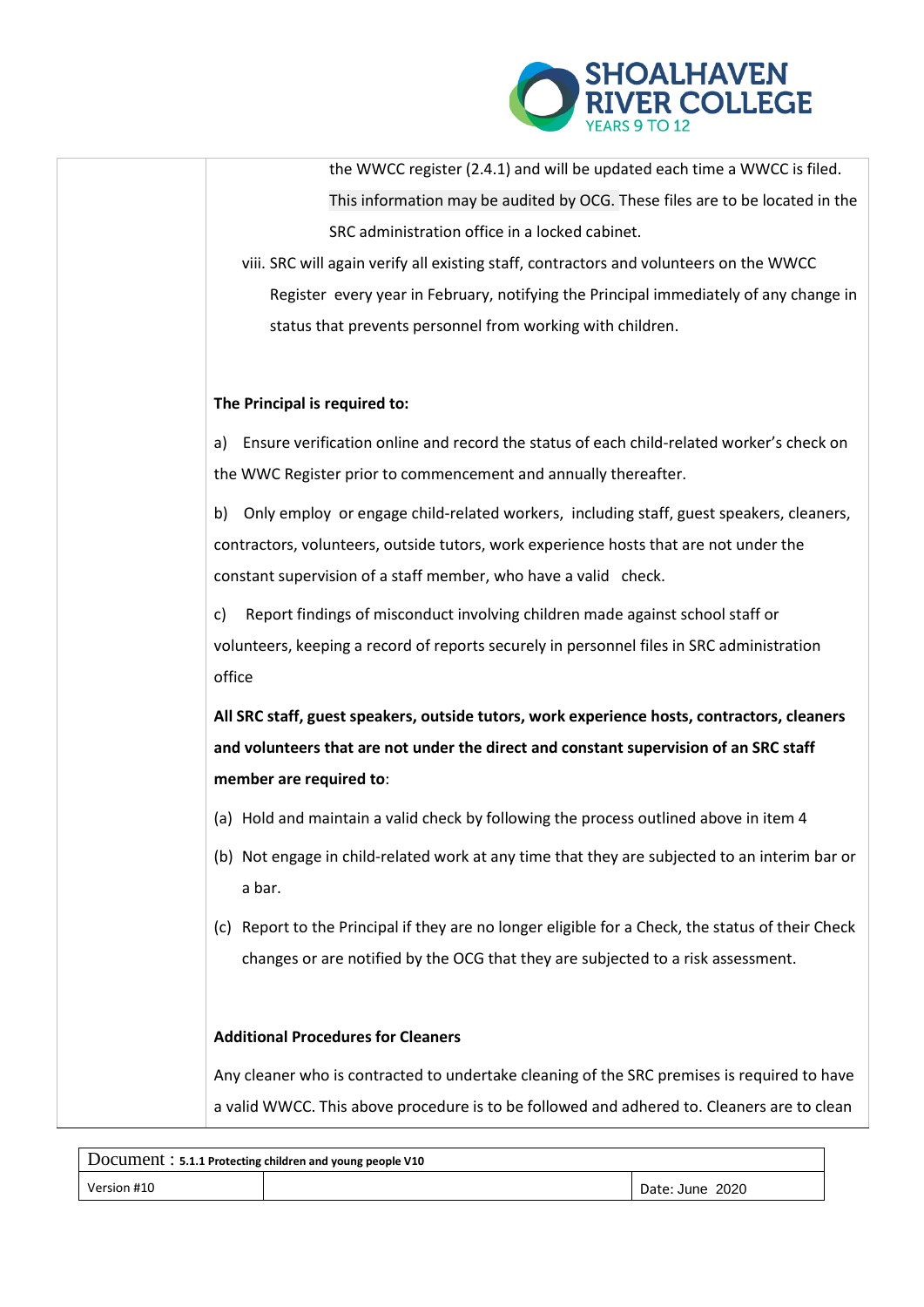

the WWCC register (2.4.1) and will be updated each time a WWCC is filed. This information may be audited by OCG. These files are to be located in the SRC administration office in a locked cabinet.

viii. SRC will again verify all existing staff, contractors and volunteers on the WWCC Register every year in February, notifying the Principal immediately of any change in status that prevents personnel from working with children.

# **The Principal is required to:**

a) Ensure verification online and record the status of each child-related worker's check on the WWC Register prior to commencement and annually thereafter.

b) Only employ or engage child-related workers, including staff, guest speakers, cleaners, contractors, volunteers, outside tutors, work experience hosts that are not under the constant supervision of a staff member, who have a valid check.

c) Report findings of misconduct involving children made against school staff or volunteers, keeping a record of reports securely in personnel files in SRC administration office

**All SRC staff, guest speakers, outside tutors, work experience hosts, contractors, cleaners and volunteers that are not under the direct and constant supervision of an SRC staff member are required to**:

- (a) Hold and maintain a valid check by following the process outlined above in item 4
- (b) Not engage in child-related work at any time that they are subjected to an interim bar or a bar.
- (c) Report to the Principal if they are no longer eligible for a Check, the status of their Check changes or are notified by the OCG that they are subjected to a risk assessment.

## **Additional Procedures for Cleaners**

Any cleaner who is contracted to undertake cleaning of the SRC premises is required to have a valid WWCC. This above procedure is to be followed and adhered to. Cleaners are to clean

| DOCUMENt: 5.1.1 Protecting children and young people V10 |  |                 |
|----------------------------------------------------------|--|-----------------|
| Version #10                                              |  | Date: June 2020 |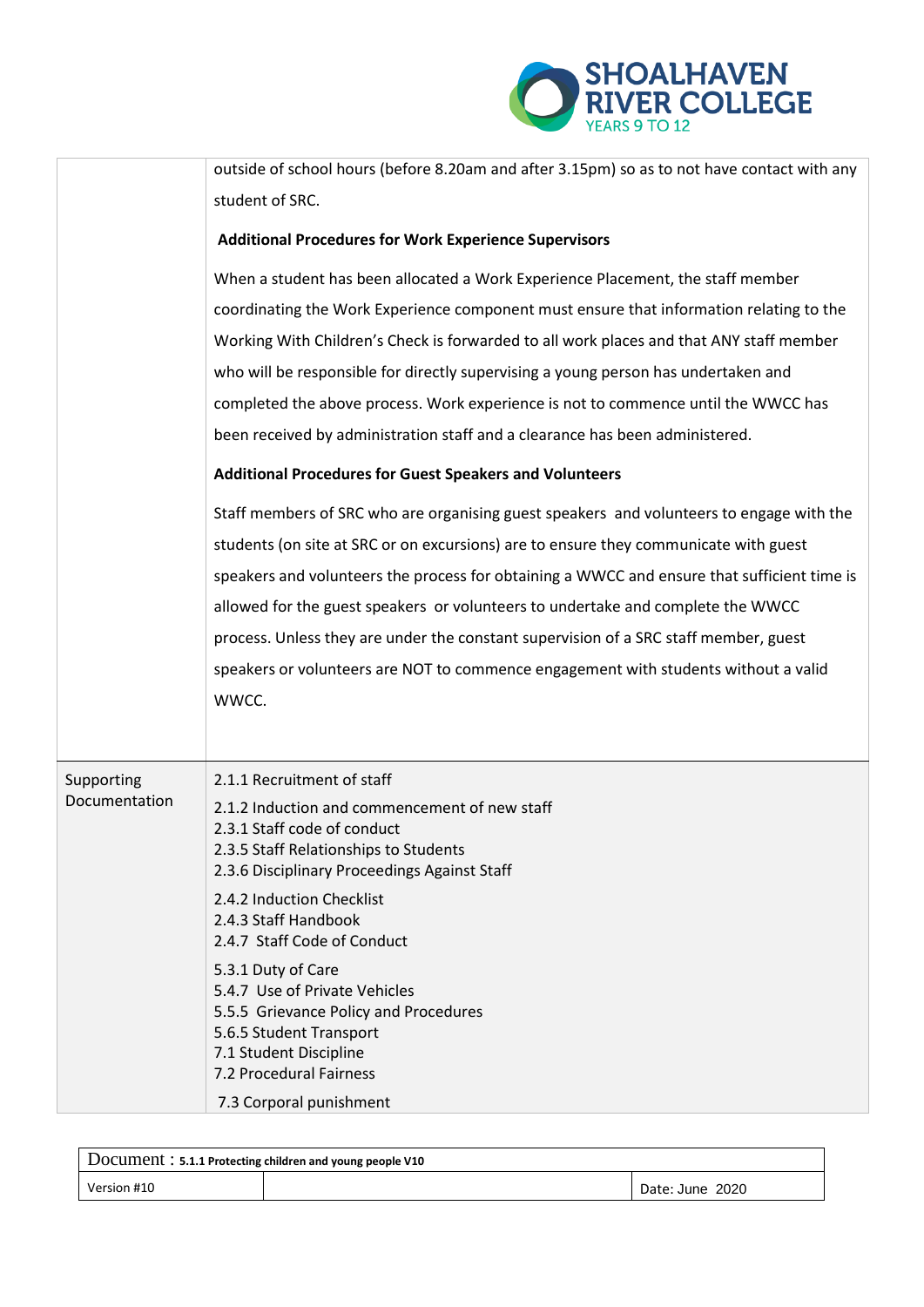

|                             | outside of school hours (before 8.20am and after 3.15pm) so as to not have contact with any<br>student of SRC.<br><b>Additional Procedures for Work Experience Supervisors</b><br>When a student has been allocated a Work Experience Placement, the staff member<br>coordinating the Work Experience component must ensure that information relating to the<br>Working With Children's Check is forwarded to all work places and that ANY staff member<br>who will be responsible for directly supervising a young person has undertaken and<br>completed the above process. Work experience is not to commence until the WWCC has<br>been received by administration staff and a clearance has been administered. |
|-----------------------------|---------------------------------------------------------------------------------------------------------------------------------------------------------------------------------------------------------------------------------------------------------------------------------------------------------------------------------------------------------------------------------------------------------------------------------------------------------------------------------------------------------------------------------------------------------------------------------------------------------------------------------------------------------------------------------------------------------------------|
|                             | <b>Additional Procedures for Guest Speakers and Volunteers</b><br>Staff members of SRC who are organising guest speakers and volunteers to engage with the<br>students (on site at SRC or on excursions) are to ensure they communicate with guest<br>speakers and volunteers the process for obtaining a WWCC and ensure that sufficient time is<br>allowed for the guest speakers or volunteers to undertake and complete the WWCC<br>process. Unless they are under the constant supervision of a SRC staff member, guest<br>speakers or volunteers are NOT to commence engagement with students without a valid<br>WWCC.                                                                                        |
| Supporting<br>Documentation | 2.1.1 Recruitment of staff<br>2.1.2 Induction and commencement of new staff<br>2.3.1 Staff code of conduct<br>2.3.5 Staff Relationships to Students<br>2.3.6 Disciplinary Proceedings Against Staff<br>2.4.2 Induction Checklist<br>2.4.3 Staff Handbook<br>2.4.7 Staff Code of Conduct<br>5.3.1 Duty of Care<br>5.4.7 Use of Private Vehicles<br>5.5.5 Grievance Policy and Procedures<br>5.6.5 Student Transport<br>7.1 Student Discipline<br>7.2 Procedural Fairness<br>7.3 Corporal punishment                                                                                                                                                                                                                  |

| Document: 5.1.1 Protecting children and young people V10 |  |                 |  |
|----------------------------------------------------------|--|-----------------|--|
| Version #10                                              |  | Date: June 2020 |  |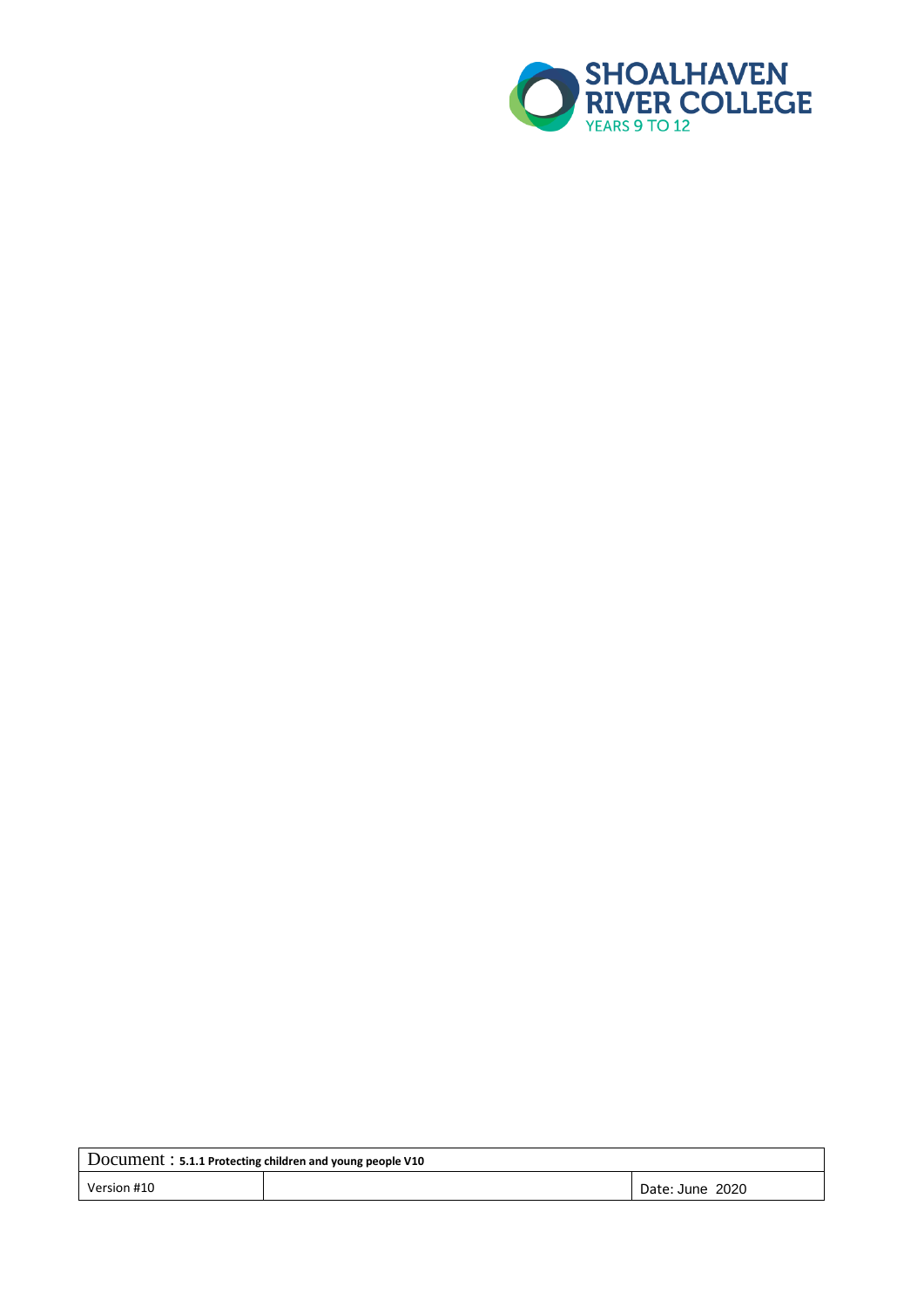

| Document: 5.1.1 Protecting children and young people V10 |  |                 |  |
|----------------------------------------------------------|--|-----------------|--|
| Version #10                                              |  | Date: June 2020 |  |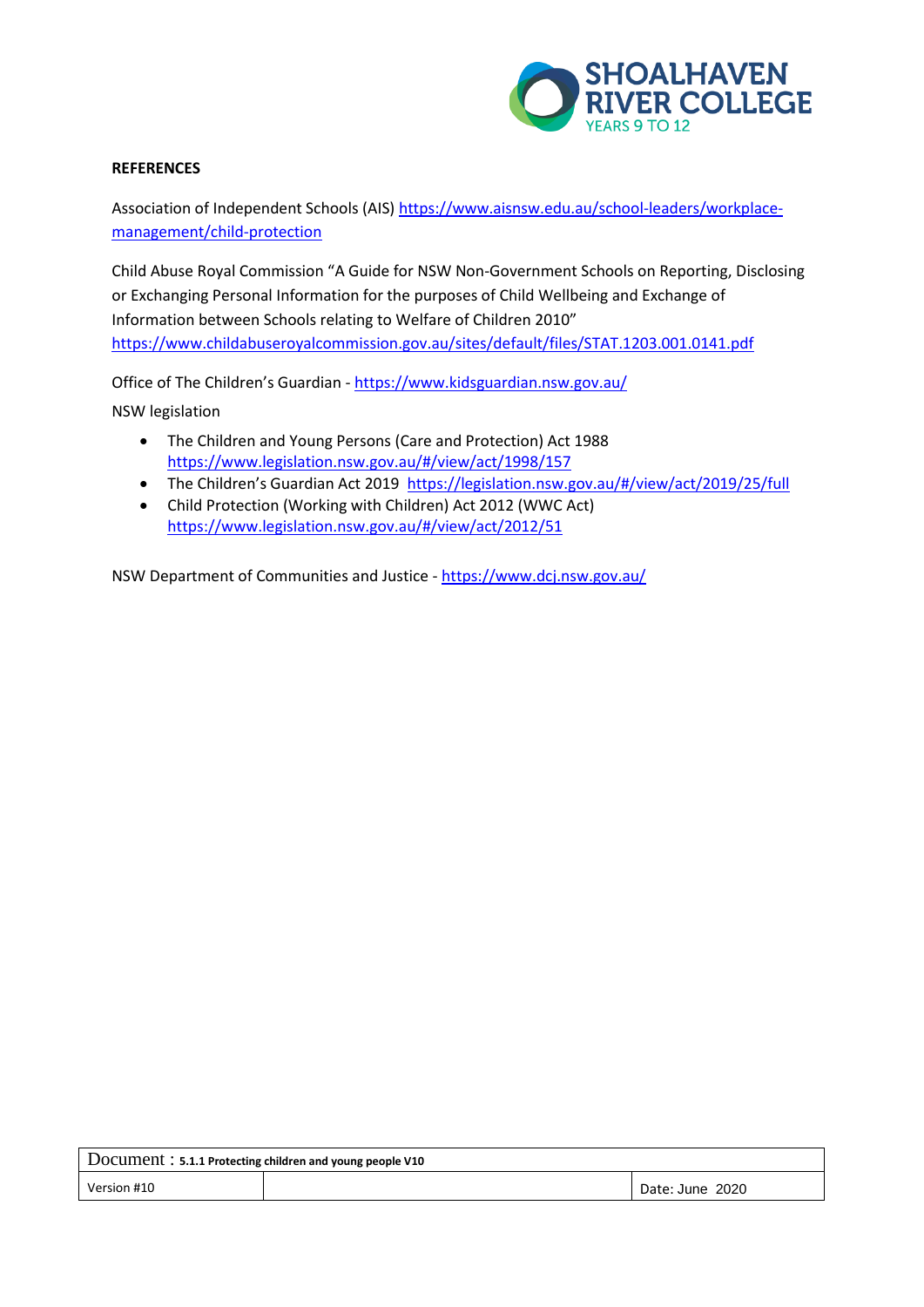

## **REFERENCES**

Association of Independent Schools (AIS) [https://www.aisnsw.edu.au/school-leaders/workplace](https://www.aisnsw.edu.au/school-leaders/workplace-management/child-protection)[management/child-protection](https://www.aisnsw.edu.au/school-leaders/workplace-management/child-protection)

Child Abuse Royal Commission "A Guide for NSW Non-Government Schools on Reporting, Disclosing or Exchanging Personal Information for the purposes of Child Wellbeing and Exchange of Information between Schools relating to Welfare of Children 2010" <https://www.childabuseroyalcommission.gov.au/sites/default/files/STAT.1203.001.0141.pdf>

Office of The Children's Guardian - <https://www.kidsguardian.nsw.gov.au/> NSW legislation

- The Children and Young Persons (Care and Protection) Act 1988 <https://www.legislation.nsw.gov.au/#/view/act/1998/157>
- The Children's Guardian Act 2019 <https://legislation.nsw.gov.au/#/view/act/2019/25/full>
- Child Protection (Working with Children) Act 2012 (WWC Act) <https://www.legislation.nsw.gov.au/#/view/act/2012/51>

NSW Department of Communities and Justice - <https://www.dcj.nsw.gov.au/>

| Document: 5.1.1 Protecting children and young people V10 |  |                 |  |
|----------------------------------------------------------|--|-----------------|--|
| Version #10                                              |  | Date: June 2020 |  |